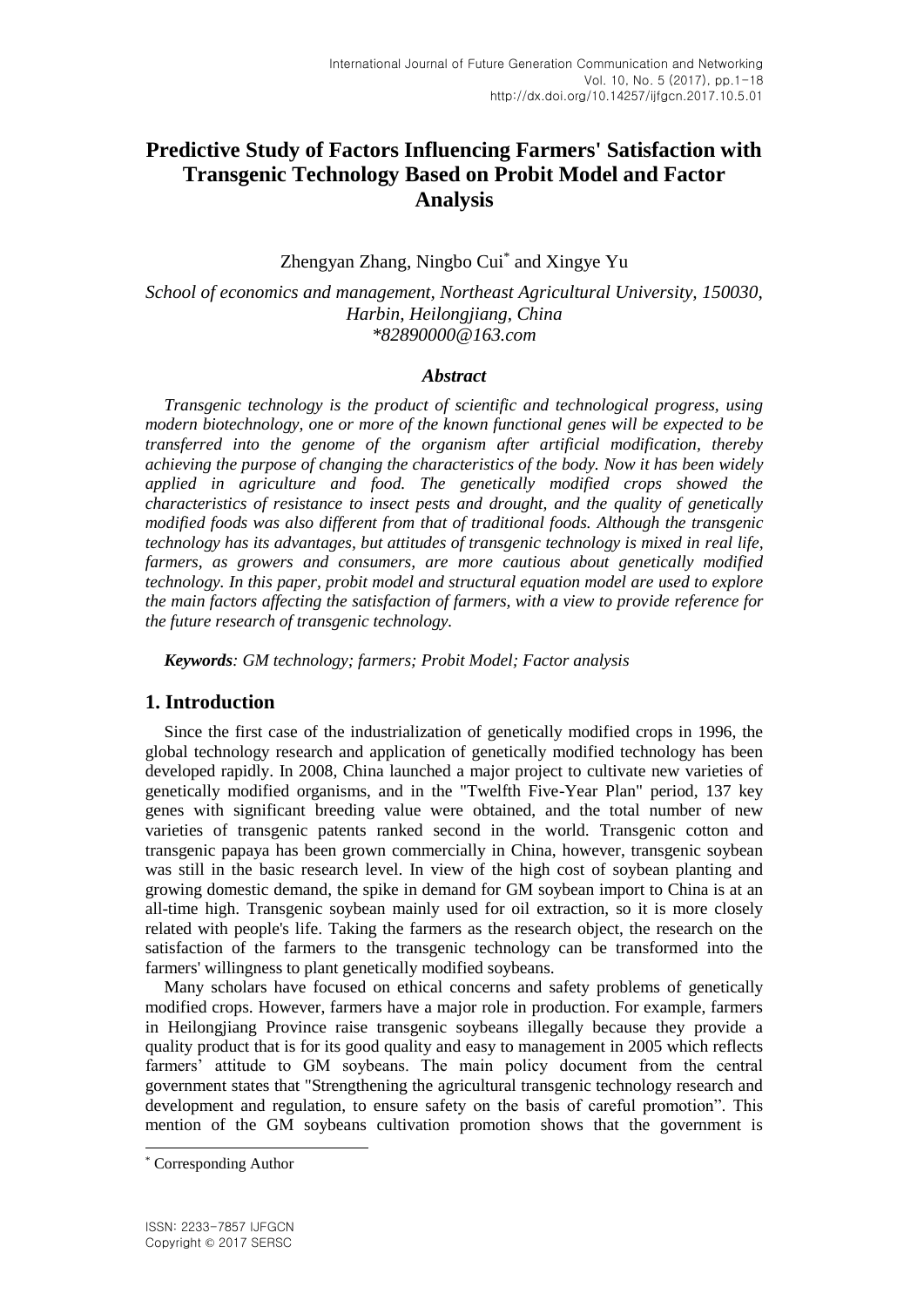# **Predictive Study of Factors Influencing Farmers' Satisfaction with Transgenic Technology Based on Probit Model and Factor Analysis**

Zhengyan Zhang, Ningbo Cui\* and Xingye Yu

*School of economics and management, Northeast Agricultural University, 150030, Harbin, Heilongjiang, China \*82890000@163.com*

### *Abstract*

*Transgenic technology is the product of scientific and technological progress, using modern biotechnology, one or more of the known functional genes will be expected to be transferred into the genome of the organism after artificial modification, thereby achieving the purpose of changing the characteristics of the body. Now it has been widely applied in agriculture and food. The genetically modified crops showed the characteristics of resistance to insect pests and drought, and the quality of genetically modified foods was also different from that of traditional foods. Although the transgenic technology has its advantages, but attitudes of transgenic technology is mixed in real life, farmers, as growers and consumers, are more cautious about genetically modified technology. In this paper, probit model and structural equation model are used to explore the main factors affecting the satisfaction of farmers, with a view to provide reference for the future research of transgenic technology.*

*Keywords: GM technology; farmers; Probit Model; Factor analysis*

# **1. Introduction**

Since the first case of the industrialization of genetically modified crops in 1996, the global technology research and application of genetically modified technology has been developed rapidly. In 2008, China launched a major project to cultivate new varieties of genetically modified organisms, and in the "Twelfth Five-Year Plan" period, 137 key genes with significant breeding value were obtained, and the total number of new varieties of transgenic patents ranked second in the world. Transgenic cotton and transgenic papaya has been grown commercially in China, however, transgenic soybean was still in the basic research level. In view of the high cost of soybean planting and growing domestic demand, the spike in demand for GM soybean import to China is at an all-time high. Transgenic soybean mainly used for oil extraction, so it is more closely related with people's life. Taking the farmers as the research object, the research on the satisfaction of the farmers to the transgenic technology can be transformed into the farmers' willingness to plant genetically modified soybeans.

Many scholars have focused on ethical concerns and safety problems of genetically modified crops. However, farmers have a major role in production. For example, farmers in Heilongjiang Province raise transgenic soybeans illegally because they provide a quality product that is for its good quality and easy to management in 2005 which reflects farmers' attitude to GM soybeans. The main policy document from the central government states that "Strengthening the agricultural transgenic technology research and development and regulation, to ensure safety on the basis of careful promotion". This mention of the GM soybeans cultivation promotion shows that the government is

l

<sup>\*</sup> Corresponding Author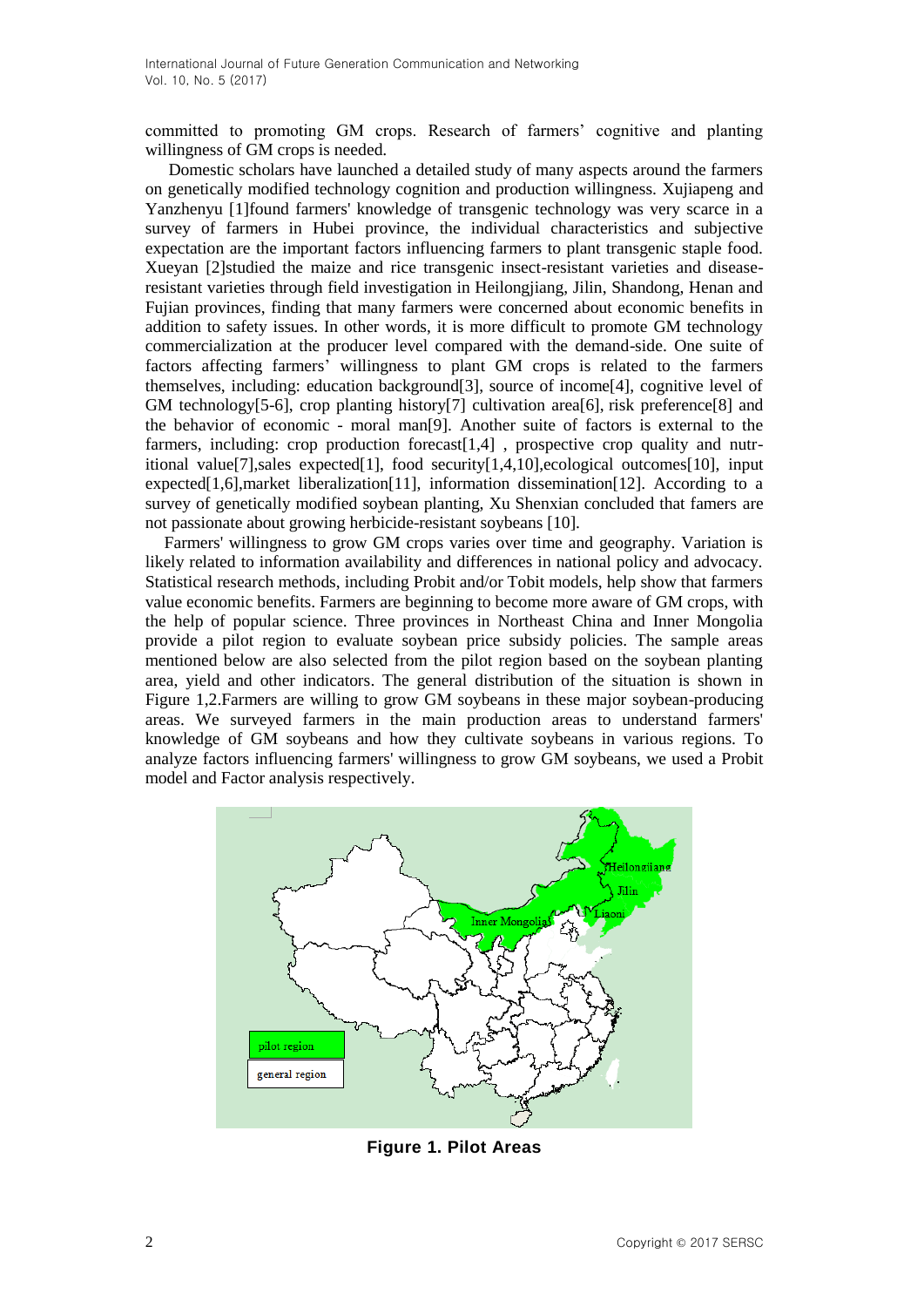committed to promoting GM crops. Research of farmers' cognitive and planting willingness of GM crops is needed.

Domestic scholars have launched a detailed study of many aspects around the farmers on genetically modified technology cognition and production willingness. Xujiapeng and Yanzhenyu [1]found farmers' knowledge of transgenic technology was very scarce in a survey of farmers in Hubei province, the individual characteristics and subjective expectation are the important factors influencing farmers to plant transgenic staple food. Xueyan [2]studied the maize and rice transgenic insect-resistant varieties and diseaseresistant varieties through field investigation in Heilongjiang, Jilin, Shandong, Henan and Fujian provinces, finding that many farmers were concerned about economic benefits in addition to safety issues. In other words, it is more difficult to promote GM technology commercialization at the producer level compared with the demand-side. One suite of factors affecting farmers' willingness to plant GM crops is related to the farmers themselves, including: education background[3], source of income[4], cognitive level of GM technology[5-6], crop planting history[7] cultivation area[6], risk preference[8] and the behavior of economic - moral man[9]. Another suite of factors is external to the farmers, including: crop production forecast[1,4] , prospective crop quality and nutritional value[7],sales expected[1], food security[1,4,10],ecological outcomes[10], input expected[1,6],market liberalization[11], information dissemination[12]. According to a survey of genetically modified soybean planting, Xu Shenxian concluded that famers are not passionate about growing herbicide-resistant soybeans [10].

Farmers' willingness to grow GM crops varies over time and geography. Variation is likely related to information availability and differences in national policy and advocacy. Statistical research methods, including Probit and/or Tobit models, help show that farmers value economic benefits. Farmers are beginning to become more aware of GM crops, with the help of popular science. Three provinces in Northeast China and Inner Mongolia provide a pilot region to evaluate soybean price subsidy policies. The sample areas mentioned below are also selected from the pilot region based on the soybean planting area, yield and other indicators. The general distribution of the situation is shown in Figure 1,2.Farmers are willing to grow GM soybeans in these major soybean-producing areas. We surveyed farmers in the main production areas to understand farmers' knowledge of GM soybeans and how they cultivate soybeans in various regions. To analyze factors influencing farmers' willingness to grow GM soybeans, we used a Probit model and Factor analysis respectively.



**Figure 1. Pilot Areas**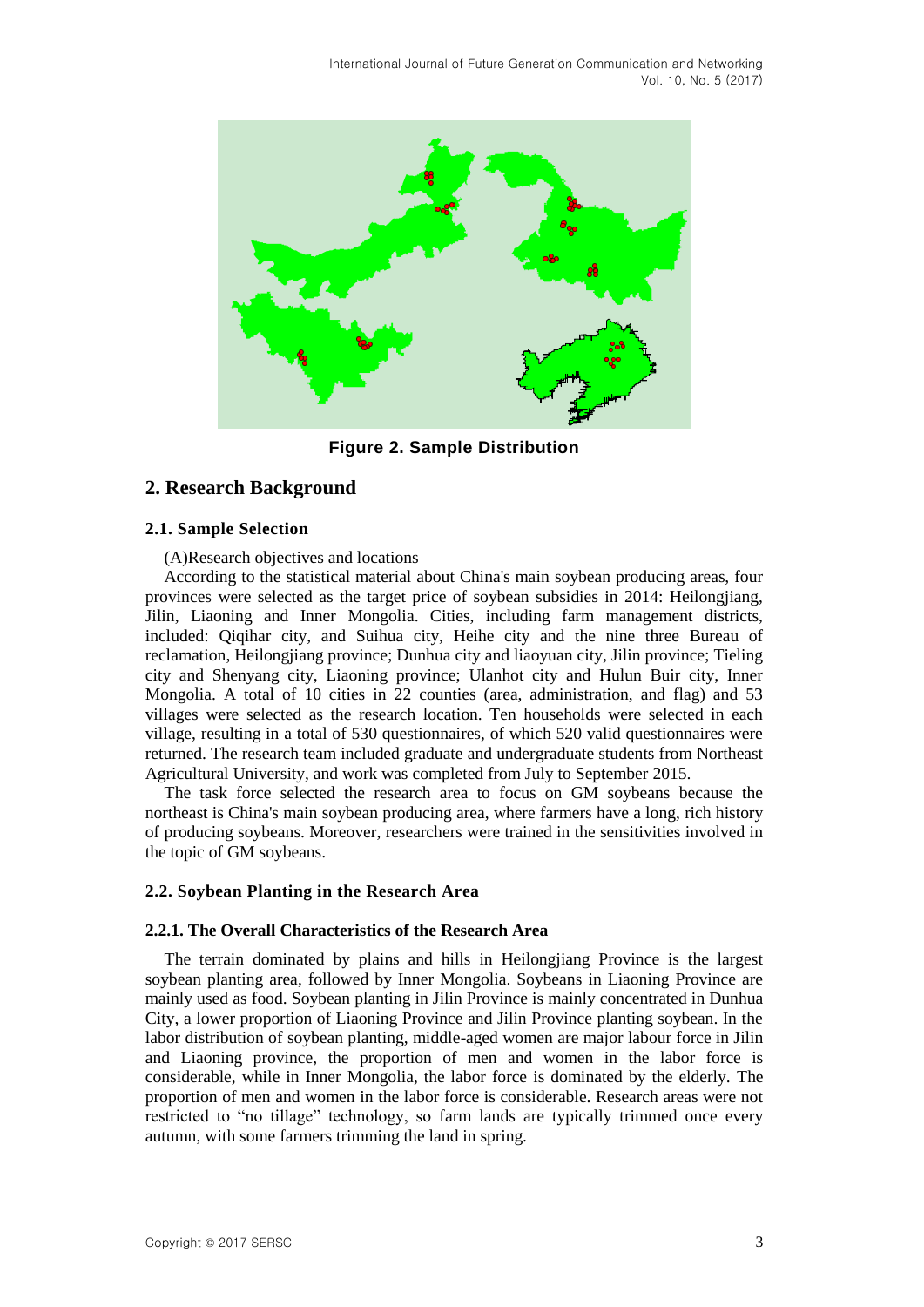

**Figure 2. Sample Distribution**

# **2. Research Background**

### **2.1. Sample Selection**

(A)Research objectives and locations

According to the statistical material about China's main soybean producing areas, four provinces were selected as the target price of soybean subsidies in 2014: Heilongjiang, Jilin, Liaoning and Inner Mongolia. Cities, including farm management districts, included: Qiqihar city, and Suihua city, Heihe city and the nine three Bureau of reclamation, Heilongjiang province; Dunhua city and liaoyuan city, Jilin province; Tieling city and Shenyang city, Liaoning province; Ulanhot city and Hulun Buir city, Inner Mongolia. A total of 10 cities in 22 counties (area, administration, and flag) and 53 villages were selected as the research location. Ten households were selected in each village, resulting in a total of 530 questionnaires, of which 520 valid questionnaires were returned. The research team included graduate and undergraduate students from Northeast Agricultural University, and work was completed from July to September 2015.

The task force selected the research area to focus on GM soybeans because the northeast is China's main soybean producing area, where farmers have a long, rich history of producing soybeans. Moreover, researchers were trained in the sensitivities involved in the topic of GM soybeans.

### **2.2. Soybean Planting in the Research Area**

### **2.2.1. The Overall Characteristics of the Research Area**

The terrain dominated by plains and hills in Heilongjiang Province is the largest soybean planting area, followed by Inner Mongolia. Soybeans in Liaoning Province are mainly used as food. Soybean planting in Jilin Province is mainly concentrated in Dunhua City, a lower proportion of Liaoning Province and Jilin Province planting soybean. In the labor distribution of soybean planting, middle-aged women are major labour force in Jilin and Liaoning province, the proportion of men and women in the labor force is considerable, while in Inner Mongolia, the labor force is dominated by the elderly. The proportion of men and women in the labor force is considerable. Research areas were not restricted to "no tillage" technology, so farm lands are typically trimmed once every autumn, with some farmers trimming the land in spring.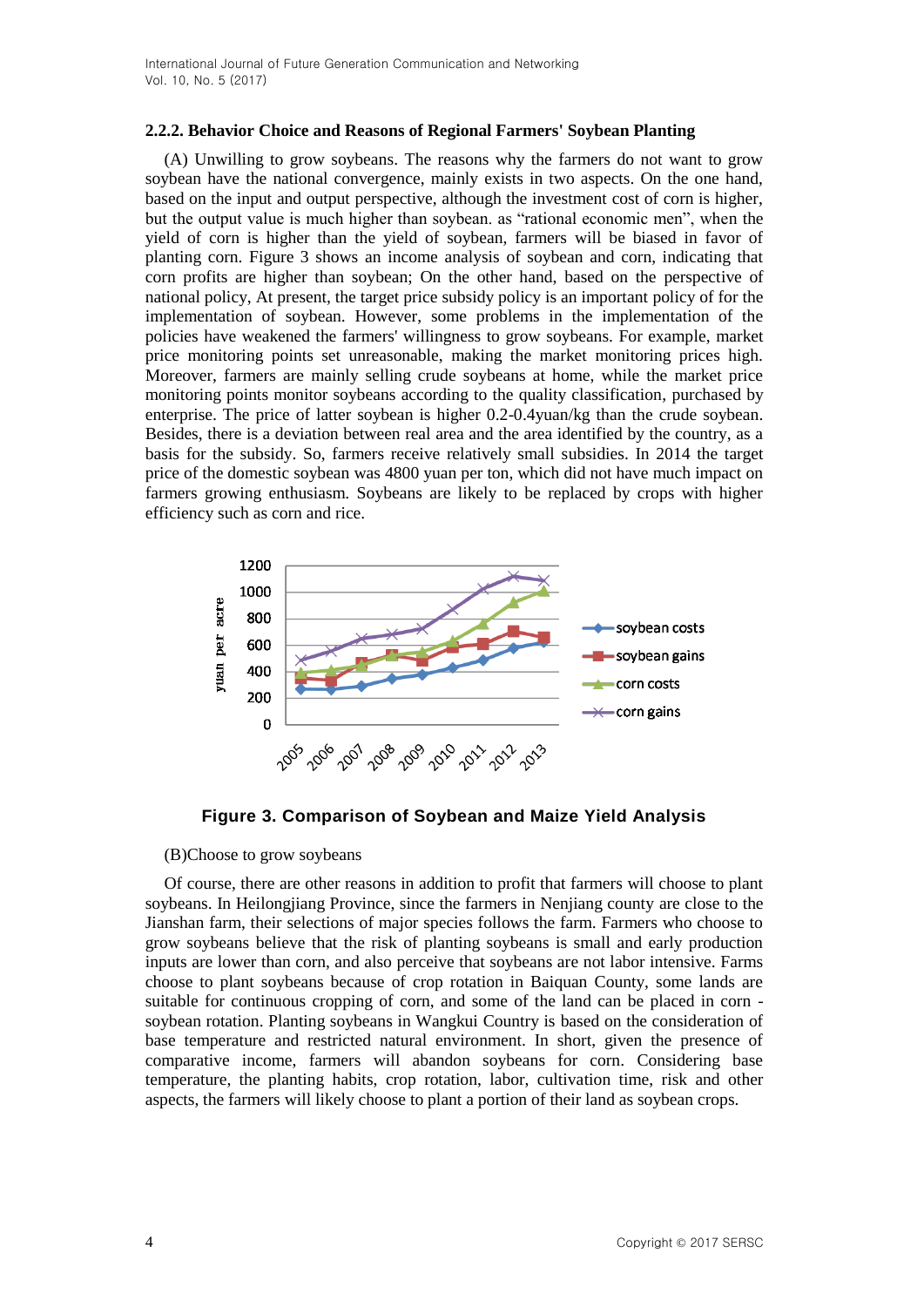#### **2.2.2. Behavior Choice and Reasons of Regional Farmers' Soybean Planting**

(A) Unwilling to grow soybeans. The reasons why the farmers do not want to grow soybean have the national convergence, mainly exists in two aspects. On the one hand, based on the input and output perspective, although the investment cost of corn is higher, but the output value is much higher than soybean. as "rational economic men", when the yield of corn is higher than the yield of soybean, farmers will be biased in favor of planting corn. Figure 3 shows an income analysis of soybean and corn, indicating that corn profits are higher than soybean; On the other hand, based on the perspective of national policy, At present, the target price subsidy policy is an important policy of for the implementation of soybean. However, some problems in the implementation of the policies have weakened the farmers' willingness to grow soybeans. For example, market price monitoring points set unreasonable, making the market monitoring prices high. Moreover, farmers are mainly selling crude soybeans at home, while the market price monitoring points monitor soybeans according to the quality classification, purchased by enterprise. The price of latter soybean is higher 0.2-0.4yuan/kg than the crude soybean. Besides, there is a deviation between real area and the area identified by the country, as a basis for the subsidy. So, farmers receive relatively small subsidies. In 2014 the target price of the domestic soybean was 4800 yuan per ton, which did not have much impact on farmers growing enthusiasm. Soybeans are likely to be replaced by crops with higher efficiency such as corn and rice.



**Figure 3. Comparison of Soybean and Maize Yield Analysis**

(B)Choose to grow soybeans

Of course, there are other reasons in addition to profit that farmers will choose to plant soybeans. In Heilongjiang Province, since the farmers in Nenjiang county are close to the Jianshan farm, their selections of major species follows the farm. Farmers who choose to grow soybeans believe that the risk of planting soybeans is small and early production inputs are lower than corn, and also perceive that soybeans are not labor intensive. Farms choose to plant soybeans because of crop rotation in Baiquan County, some lands are suitable for continuous cropping of corn, and some of the land can be placed in corn soybean rotation. Planting soybeans in Wangkui Country is based on the consideration of base temperature and restricted natural environment. In short, given the presence of comparative income, farmers will abandon soybeans for corn. Considering base temperature, the planting habits, crop rotation, labor, cultivation time, risk and other aspects, the farmers will likely choose to plant a portion of their land as soybean crops.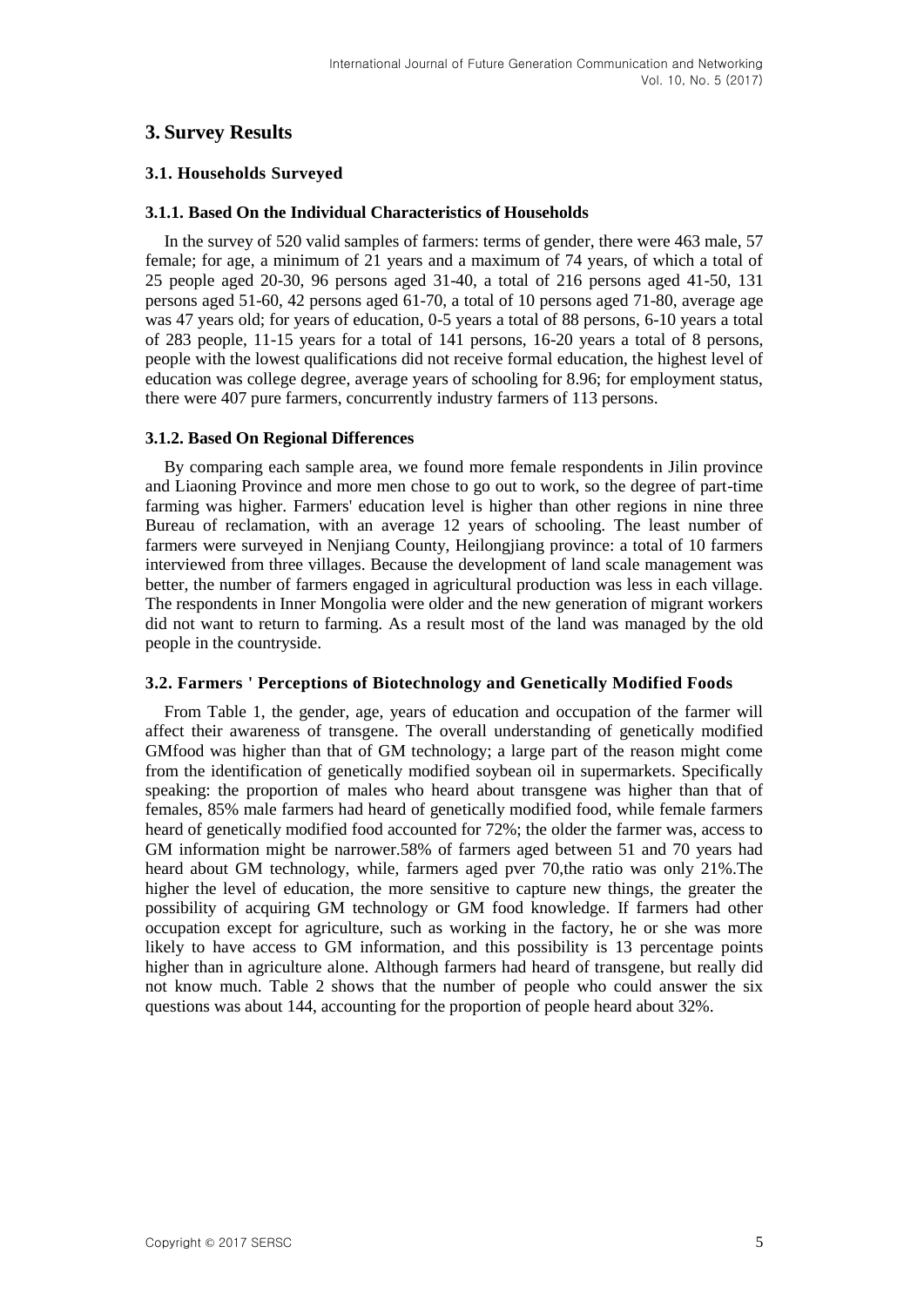# **3. Survey Results**

### **3.1. Households Surveyed**

### **3.1.1. Based On the Individual Characteristics of Households**

In the survey of 520 valid samples of farmers: terms of gender, there were 463 male, 57 female; for age, a minimum of 21 years and a maximum of 74 years, of which a total of 25 people aged 20-30, 96 persons aged 31-40, a total of 216 persons aged 41-50, 131 persons aged 51-60, 42 persons aged 61-70, a total of 10 persons aged 71-80, average age was 47 years old; for years of education, 0-5 years a total of 88 persons, 6-10 years a total of 283 people, 11-15 years for a total of 141 persons, 16-20 years a total of 8 persons, people with the lowest qualifications did not receive formal education, the highest level of education was college degree, average years of schooling for 8.96; for employment status, there were 407 pure farmers, concurrently industry farmers of 113 persons.

### **3.1.2. Based On Regional Differences**

By comparing each sample area, we found more female respondents in Jilin province and Liaoning Province and more men chose to go out to work, so the degree of part-time farming was higher. Farmers' education level is higher than other regions in nine three Bureau of reclamation, with an average 12 years of schooling. The least number of farmers were surveyed in Nenjiang County, Heilongjiang province: a total of 10 farmers interviewed from three villages. Because the development of land scale management was better, the number of farmers engaged in agricultural production was less in each village. The respondents in Inner Mongolia were older and the new generation of migrant workers did not want to return to farming. As a result most of the land was managed by the old people in the countryside.

### **3.2. Farmers ' Perceptions of Biotechnology and Genetically Modified Foods**

From Table 1, the gender, age, years of education and occupation of the farmer will affect their awareness of transgene. The overall understanding of genetically modified GMfood was higher than that of GM technology; a large part of the reason might come from the identification of genetically modified soybean oil in supermarkets. Specifically speaking: the proportion of males who heard about transgene was higher than that of females, 85% male farmers had heard of genetically modified food, while female farmers heard of genetically modified food accounted for 72%; the older the farmer was, access to GM information might be narrower.58% of farmers aged between 51 and 70 years had heard about GM technology, while, farmers aged pver 70,the ratio was only 21%.The higher the level of education, the more sensitive to capture new things, the greater the possibility of acquiring GM technology or GM food knowledge. If farmers had other occupation except for agriculture, such as working in the factory, he or she was more likely to have access to GM information, and this possibility is 13 percentage points higher than in agriculture alone. Although farmers had heard of transgene, but really did not know much. Table 2 shows that the number of people who could answer the six questions was about 144, accounting for the proportion of people heard about 32%.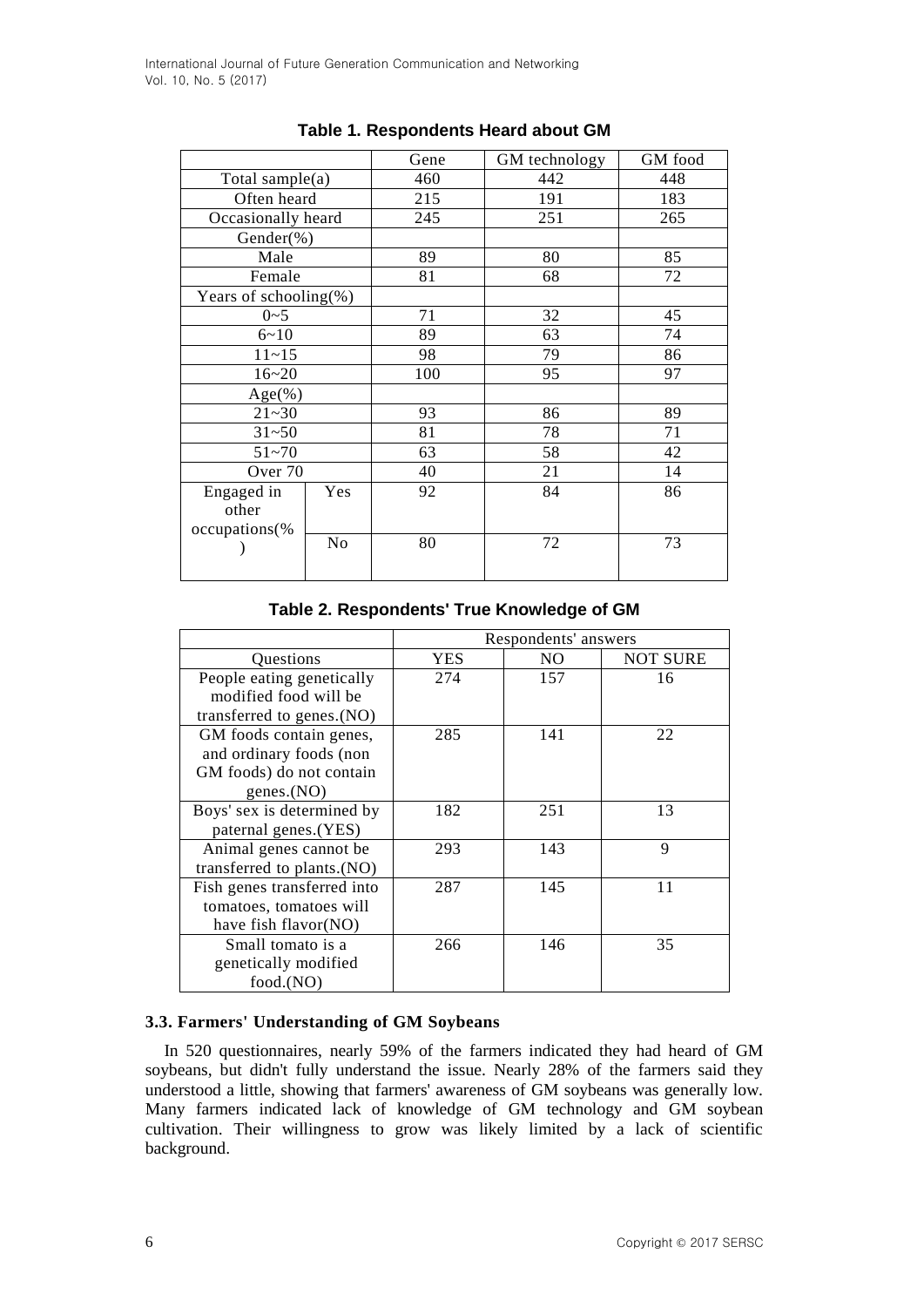|                       |                | Gene | GM technology | GM food |
|-----------------------|----------------|------|---------------|---------|
| Total sample $(a)$    |                | 460  | 442           | 448     |
| Often heard           |                | 215  | 191           | 183     |
| Occasionally heard    |                | 245  | 251           | 265     |
| Gender(%)             |                |      |               |         |
| Male                  |                | 89   | 80            | 85      |
| Female                |                | 81   | 68            | 72      |
| Years of schooling(%) |                |      |               |         |
| $0 - 5$               |                | 71   | 32            | 45      |
| $6 - 10$              |                | 89   | 63            | 74      |
| $11 - 15$             |                | 98   | 79            | 86      |
| $16 - 20$             |                | 100  | 95            | 97      |
| $Age$ (%)             |                |      |               |         |
| $21 - 30$             |                | 93   | 86            | 89      |
| $31 - 50$             |                | 81   | 78            | 71      |
| $51 - 70$             |                | 63   | 58            | 42      |
| Over <sub>70</sub>    |                | 40   | 21            | 14      |
| Engaged in            | Yes            |      | 84            | 86      |
| other                 |                |      |               |         |
| occupations(%         |                |      |               |         |
|                       | N <sub>o</sub> |      | 72            | 73      |
|                       |                |      |               |         |

# **Table 1. Respondents Heard about GM**

**Table 2. Respondents' True Knowledge of GM**

|                             | Respondents' answers |     |                 |  |  |  |
|-----------------------------|----------------------|-----|-----------------|--|--|--|
| Questions                   | YES                  | NO. | <b>NOT SURE</b> |  |  |  |
| People eating genetically   | 274                  | 157 | 16              |  |  |  |
| modified food will be       |                      |     |                 |  |  |  |
| transferred to genes.(NO)   |                      |     |                 |  |  |  |
| GM foods contain genes,     | 285                  | 141 | 22              |  |  |  |
| and ordinary foods (non     |                      |     |                 |  |  |  |
| GM foods) do not contain    |                      |     |                 |  |  |  |
| genes. $(NO)$               |                      |     |                 |  |  |  |
| Boys' sex is determined by  | 182                  | 251 | 13              |  |  |  |
| paternal genes.(YES)        |                      |     |                 |  |  |  |
| Animal genes cannot be      | 293                  | 143 | 9               |  |  |  |
| transferred to plants.(NO)  |                      |     |                 |  |  |  |
| Fish genes transferred into | 287                  | 145 | 11              |  |  |  |
| tomatoes, tomatoes will     |                      |     |                 |  |  |  |
| have fish flavor(NO)        |                      |     |                 |  |  |  |
| Small tomato is a           | 266                  | 146 | 35              |  |  |  |
| genetically modified        |                      |     |                 |  |  |  |
| food.(NO)                   |                      |     |                 |  |  |  |

# **3.3. Farmers' Understanding of GM Soybeans**

In 520 questionnaires, nearly 59% of the farmers indicated they had heard of GM soybeans, but didn't fully understand the issue. Nearly 28% of the farmers said they understood a little, showing that farmers' awareness of GM soybeans was generally low. Many farmers indicated lack of knowledge of GM technology and GM soybean cultivation. Their willingness to grow was likely limited by a lack of scientific background.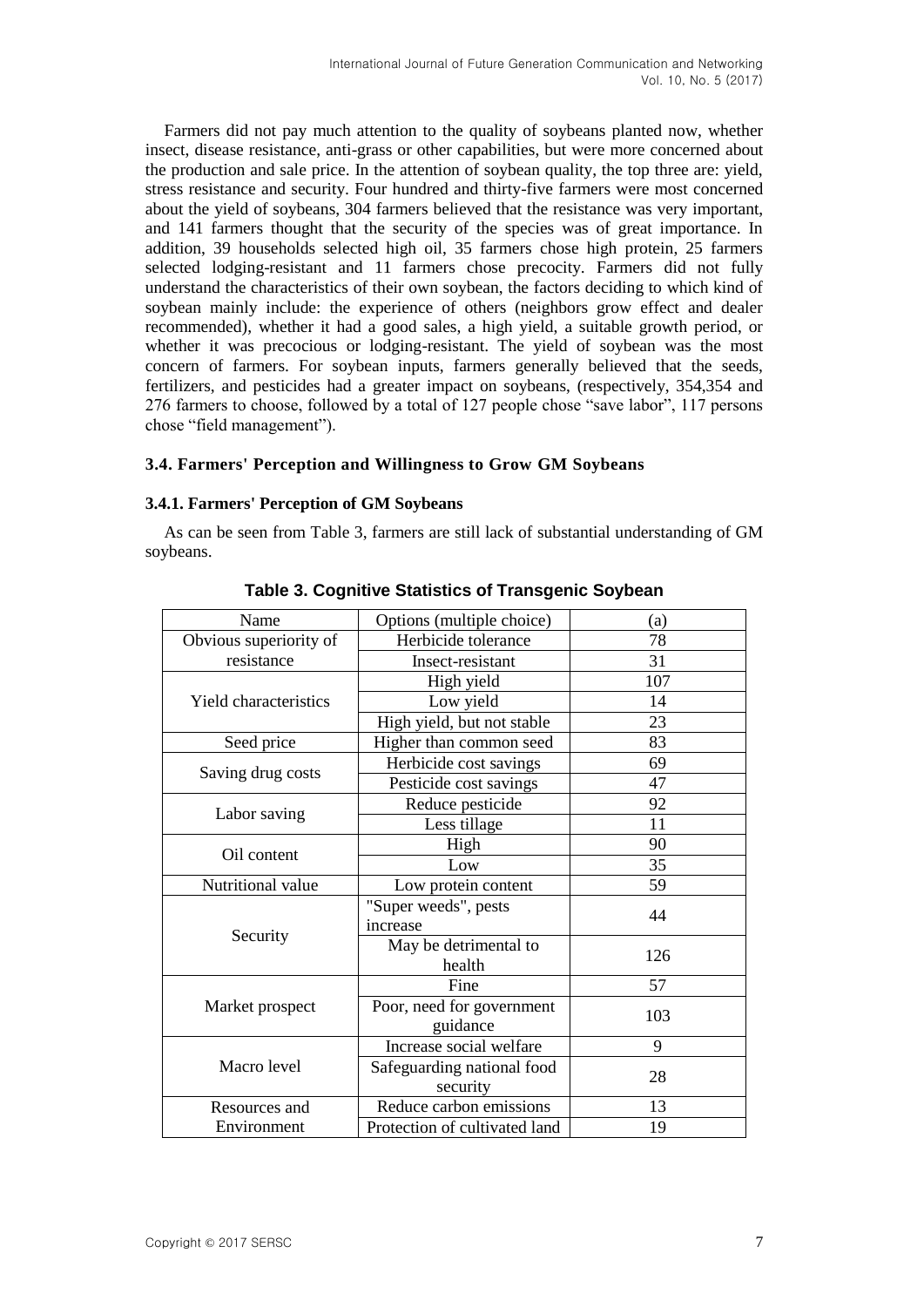Farmers did not pay much attention to the quality of soybeans planted now, whether insect, disease resistance, anti-grass or other capabilities, but were more concerned about the production and sale price. In the attention of soybean quality, the top three are: yield, stress resistance and security. Four hundred and thirty-five farmers were most concerned about the yield of soybeans, 304 farmers believed that the resistance was very important, and 141 farmers thought that the security of the species was of great importance. In addition, 39 households selected high oil, 35 farmers chose high protein, 25 farmers selected lodging-resistant and 11 farmers chose precocity. Farmers did not fully understand the characteristics of their own soybean, the factors deciding to which kind of soybean mainly include: the experience of others (neighbors grow effect and dealer recommended), whether it had a good sales, a high yield, a suitable growth period, or whether it was precocious or lodging-resistant. The yield of soybean was the most concern of farmers. For soybean inputs, farmers generally believed that the seeds, fertilizers, and pesticides had a greater impact on soybeans, (respectively, 354,354 and 276 farmers to choose, followed by a total of 127 people chose "save labor", 117 persons chose "field management").

### **3.4. Farmers' Perception and Willingness to Grow GM Soybeans**

### **3.4.1. Farmers' Perception of GM Soybeans**

As can be seen from Table 3, farmers are still lack of substantial understanding of GM soybeans.

| Name                         | Options (multiple choice)     | (a) |
|------------------------------|-------------------------------|-----|
| Obvious superiority of       | Herbicide tolerance           | 78  |
| resistance                   | Insect-resistant              | 31  |
|                              | High yield                    | 107 |
| <b>Yield characteristics</b> | Low yield                     | 14  |
|                              | High yield, but not stable    | 23  |
| Seed price                   | Higher than common seed       | 83  |
|                              | Herbicide cost savings        | 69  |
| Saving drug costs            | Pesticide cost savings        | 47  |
| Labor saving                 | Reduce pesticide              | 92  |
|                              | Less tillage                  | 11  |
| Oil content                  | High                          | 90  |
|                              | Low                           | 35  |
| Nutritional value            | Low protein content           | 59  |
|                              | "Super weeds", pests          | 44  |
| Security                     | increase                      |     |
|                              | May be detrimental to         | 126 |
|                              | health                        |     |
|                              | Fine                          | 57  |
| Market prospect              | Poor, need for government     | 103 |
|                              | guidance                      |     |
|                              | Increase social welfare       | 9   |
| Macro level                  | Safeguarding national food    | 28  |
|                              | security                      |     |
| Resources and                | Reduce carbon emissions       | 13  |
| Environment                  | Protection of cultivated land | 19  |

#### **Table 3. Cognitive Statistics of Transgenic Soybean**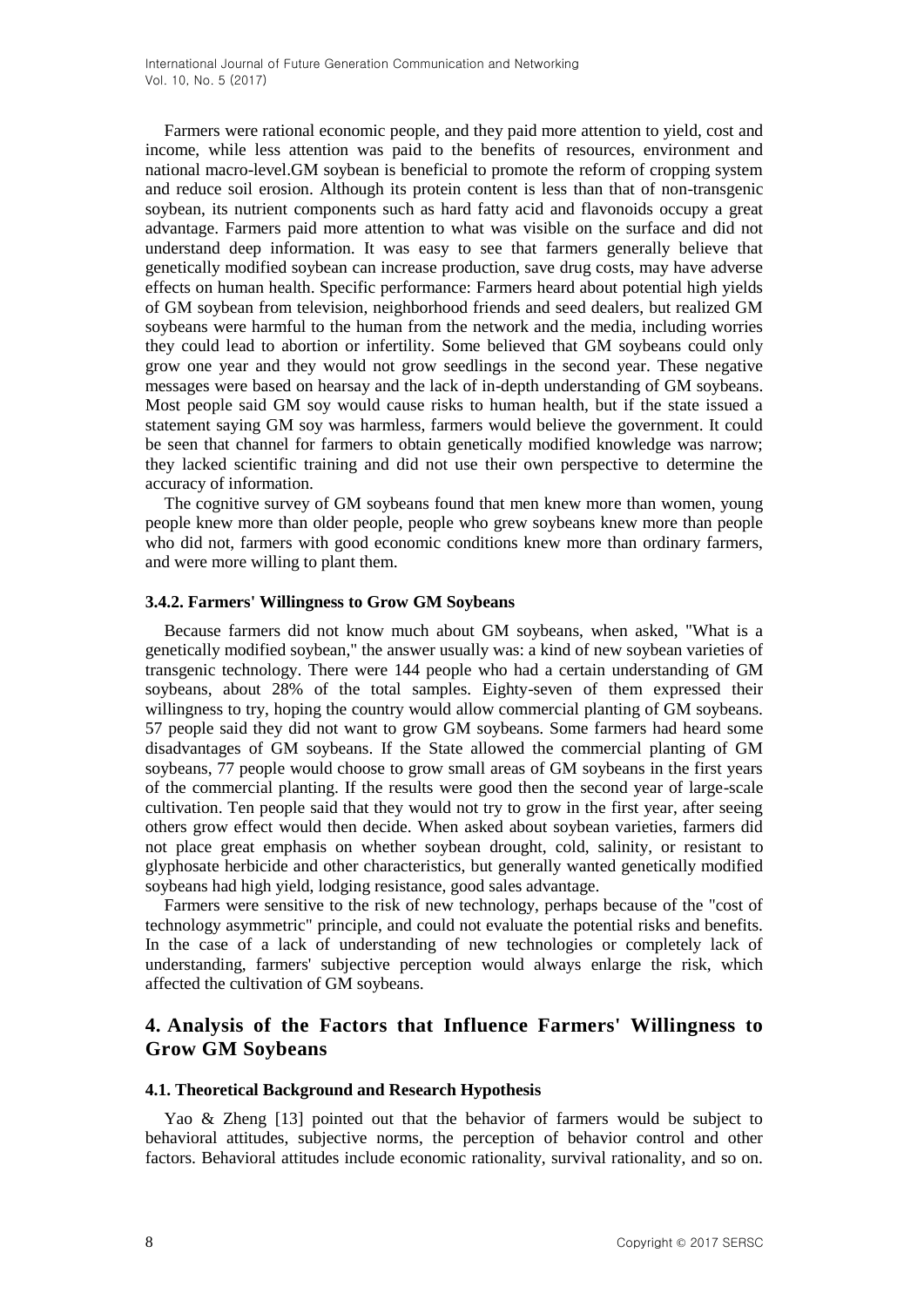Farmers were rational economic people, and they paid more attention to yield, cost and income, while less attention was paid to the benefits of resources, environment and national macro-level.GM soybean is beneficial to promote the reform of cropping system and reduce soil erosion. Although its protein content is less than that of non-transgenic soybean, its nutrient components such as hard fatty acid and flavonoids occupy a great advantage. Farmers paid more attention to what was visible on the surface and did not understand deep information. It was easy to see that farmers generally believe that genetically modified soybean can increase production, save drug costs, may have adverse effects on human health. Specific performance: Farmers heard about potential high yields of GM soybean from television, neighborhood friends and seed dealers, but realized GM soybeans were harmful to the human from the network and the media, including worries they could lead to abortion or infertility. Some believed that GM soybeans could only grow one year and they would not grow seedlings in the second year. These negative messages were based on hearsay and the lack of in-depth understanding of GM soybeans. Most people said GM soy would cause risks to human health, but if the state issued a statement saying GM soy was harmless, farmers would believe the government. It could be seen that channel for farmers to obtain genetically modified knowledge was narrow; they lacked scientific training and did not use their own perspective to determine the accuracy of information.

The cognitive survey of GM soybeans found that men knew more than women, young people knew more than older people, people who grew soybeans knew more than people who did not, farmers with good economic conditions knew more than ordinary farmers, and were more willing to plant them.

### **3.4.2. Farmers' Willingness to Grow GM Soybeans**

Because farmers did not know much about GM soybeans, when asked, "What is a genetically modified soybean," the answer usually was: a kind of new soybean varieties of transgenic technology. There were 144 people who had a certain understanding of GM soybeans, about 28% of the total samples. Eighty-seven of them expressed their willingness to try, hoping the country would allow commercial planting of GM soybeans. 57 people said they did not want to grow GM soybeans. Some farmers had heard some disadvantages of GM soybeans. If the State allowed the commercial planting of GM soybeans, 77 people would choose to grow small areas of GM soybeans in the first years of the commercial planting. If the results were good then the second year of large-scale cultivation. Ten people said that they would not try to grow in the first year, after seeing others grow effect would then decide. When asked about soybean varieties, farmers did not place great emphasis on whether soybean drought, cold, salinity, or resistant to glyphosate herbicide and other characteristics, but generally wanted genetically modified soybeans had high yield, lodging resistance, good sales advantage.

Farmers were sensitive to the risk of new technology, perhaps because of the "cost of technology asymmetric" principle, and could not evaluate the potential risks and benefits. In the case of a lack of understanding of new technologies or completely lack of understanding, farmers' subjective perception would always enlarge the risk, which affected the cultivation of GM soybeans.

# **4. Analysis of the Factors that Influence Farmers' Willingness to Grow GM Soybeans**

#### **4.1. Theoretical Background and Research Hypothesis**

Yao & Zheng [13] pointed out that the behavior of farmers would be subject to behavioral attitudes, subjective norms, the perception of behavior control and other factors. Behavioral attitudes include economic rationality, survival rationality, and so on.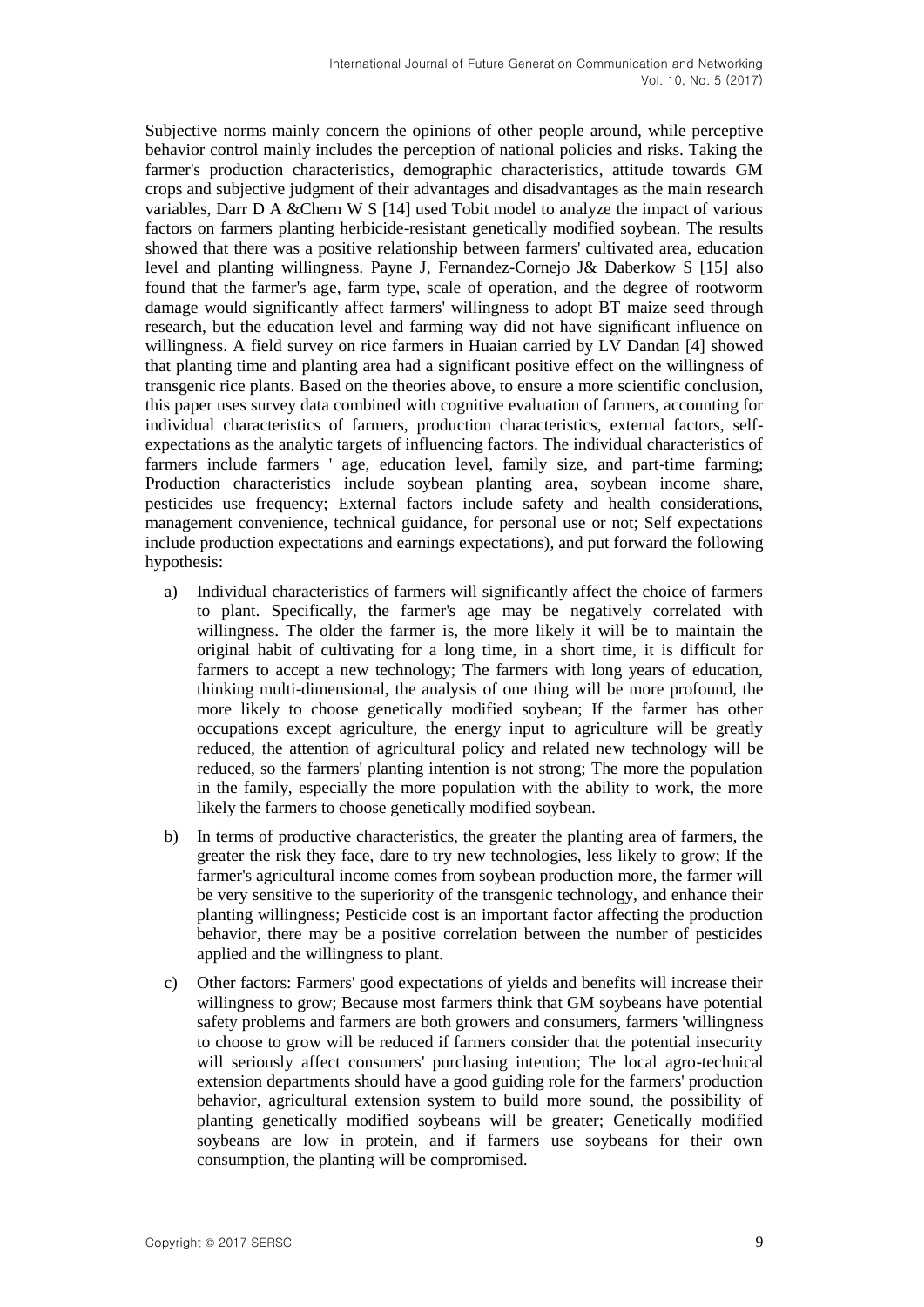Subjective norms mainly concern the opinions of other people around, while perceptive behavior control mainly includes the perception of national policies and risks. Taking the farmer's production characteristics, demographic characteristics, attitude towards GM crops and subjective judgment of their advantages and disadvantages as the main research variables, Darr D A &Chern W S [14] used Tobit model to analyze the impact of various factors on farmers planting herbicide-resistant genetically modified soybean. The results showed that there was a positive relationship between farmers' cultivated area, education level and planting willingness. Payne J, Fernandez-Cornejo J& Daberkow S [15] also found that the farmer's age, farm type, scale of operation, and the degree of rootworm damage would significantly affect farmers' willingness to adopt BT maize seed through research, but the education level and farming way did not have significant influence on willingness. A field survey on rice farmers in Huaian carried by LV Dandan [4] showed that planting time and planting area had a significant positive effect on the willingness of transgenic rice plants. Based on the theories above, to ensure a more scientific conclusion, this paper uses survey data combined with cognitive evaluation of farmers, accounting for individual characteristics of farmers, production characteristics, external factors, selfexpectations as the analytic targets of influencing factors. The individual characteristics of farmers include farmers ' age, education level, family size, and part-time farming; Production characteristics include soybean planting area, soybean income share, pesticides use frequency; External factors include safety and health considerations, management convenience, technical guidance, for personal use or not; Self expectations include production expectations and earnings expectations), and put forward the following hypothesis:

- a) Individual characteristics of farmers will significantly affect the choice of farmers to plant. Specifically, the farmer's age may be negatively correlated with willingness. The older the farmer is, the more likely it will be to maintain the original habit of cultivating for a long time, in a short time, it is difficult for farmers to accept a new technology; The farmers with long years of education, thinking multi-dimensional, the analysis of one thing will be more profound, the more likely to choose genetically modified soybean; If the farmer has other occupations except agriculture, the energy input to agriculture will be greatly reduced, the attention of agricultural policy and related new technology will be reduced, so the farmers' planting intention is not strong; The more the population in the family, especially the more population with the ability to work, the more likely the farmers to choose genetically modified soybean.
- b) In terms of productive characteristics, the greater the planting area of farmers, the greater the risk they face, dare to try new technologies, less likely to grow; If the farmer's agricultural income comes from soybean production more, the farmer will be very sensitive to the superiority of the transgenic technology, and enhance their planting willingness; Pesticide cost is an important factor affecting the production behavior, there may be a positive correlation between the number of pesticides applied and the willingness to plant.
- c) Other factors: Farmers' good expectations of yields and benefits will increase their willingness to grow; Because most farmers think that GM soybeans have potential safety problems and farmers are both growers and consumers, farmers 'willingness to choose to grow will be reduced if farmers consider that the potential insecurity will seriously affect consumers' purchasing intention; The local agro-technical extension departments should have a good guiding role for the farmers' production behavior, agricultural extension system to build more sound, the possibility of planting genetically modified soybeans will be greater; Genetically modified soybeans are low in protein, and if farmers use soybeans for their own consumption, the planting will be compromised.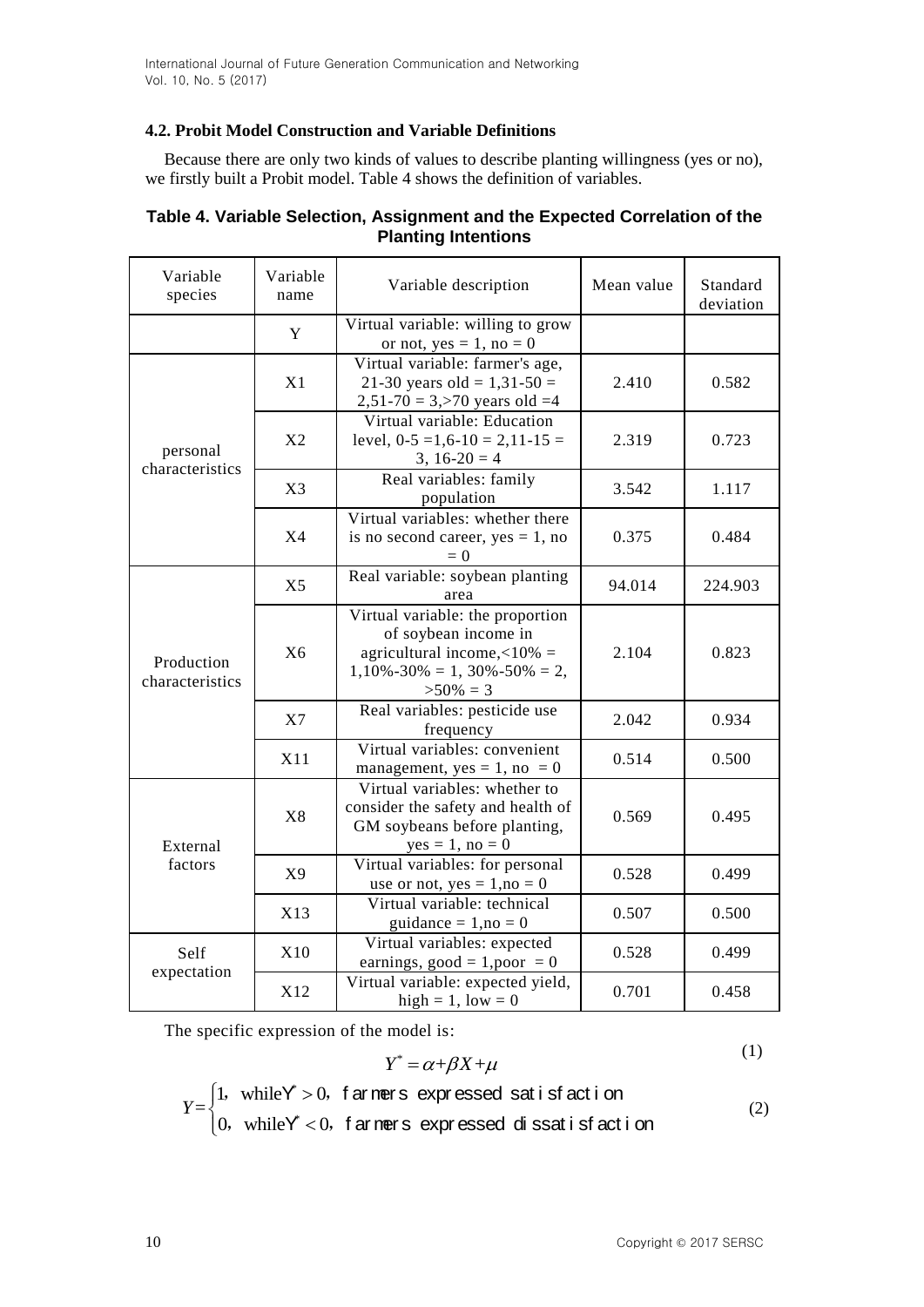# **4.2. Probit Model Construction and Variable Definitions**

Because there are only two kinds of values to describe planting willingness (yes or no), we firstly built a Probit model. Table 4 shows the definition of variables.

| Variable<br>species           | Variable<br>name | Variable description                                                                                                                              | Mean value | Standard<br>deviation |
|-------------------------------|------------------|---------------------------------------------------------------------------------------------------------------------------------------------------|------------|-----------------------|
|                               | Y                | Virtual variable: willing to grow<br>or not, $yes = 1$ , no = 0                                                                                   |            |                       |
|                               | X1               | Virtual variable: farmer's age,<br>21-30 years old = $1,31-50 =$<br>$2,51-70 = 3,570$ years old $=4$                                              | 2.410      | 0.582                 |
| personal<br>characteristics   | X <sub>2</sub>   | Virtual variable: Education<br>level, $0-5 = 1,6-10 = 2,11-15 =$<br>$3, 16-20 = 4$                                                                | 2.319      | 0.723                 |
|                               | X3               | Real variables: family<br>population                                                                                                              | 3.542      | 1.117                 |
|                               | <b>X4</b>        | Virtual variables: whether there<br>is no second career, $yes = 1$ , no<br>$= 0$                                                                  | 0.375      | 0.484                 |
| Production<br>characteristics | X <sub>5</sub>   | Real variable: soybean planting<br>area                                                                                                           | 94.014     | 224.903               |
|                               | X <sub>6</sub>   | Virtual variable: the proportion<br>of soybean income in<br>agricultural income, $<10\%$ =<br>$1,10\% - 30\% = 1,30\% - 50\% = 2,$<br>$>50\% = 3$ | 2.104      | 0.823                 |
|                               | X7               | Real variables: pesticide use<br>frequency                                                                                                        | 2.042      | 0.934                 |
|                               | X11              | Virtual variables: convenient<br>management, yes = $1$ , no = 0                                                                                   | 0.514      | 0.500                 |
| External                      | X8               | Virtual variables: whether to<br>consider the safety and health of<br>GM soybeans before planting,<br>$yes = 1, no = 0$                           | 0.569      | 0.495                 |
| factors                       | X9               | Virtual variables: for personal<br>use or not, $yes = 1, no = 0$                                                                                  | 0.528      | 0.499                 |
|                               | X13              | Virtual variable: technical<br>guidance = $1, no = 0$                                                                                             | 0.507      | 0.500                 |
| Self                          | X10              | Virtual variables: expected<br>earnings, good = $1,$ poor = 0                                                                                     | 0.528      | 0.499                 |
| expectation                   | X12              | Virtual variable: expected yield,<br>high = $1$ , low = 0                                                                                         | 0.701      | 0.458                 |

# **Table 4. Variable Selection, Assignment and the Expected Correlation of the Planting Intentions**

The specific expression of the model is:

$$
Y^* = \alpha + \beta X + \mu \tag{1}
$$

$$
Y = \begin{cases} 1, & \text{while } Y^* > 0, \text{ far } \text{mer } s \text{ is } s \text{ and } s \text{ is } s \text{ is } t \text{ is } s \text{ and } s \text{ is } t \text{ is } t \text{ is } t \text{ is } t \text{ is } t \text{ is } t \text{ is } t \text{ is } t \text{ is } t \text{ is } t \text{ is } t \text{ is } t \text{ is } t \text{ is } t \text{ is } t \text{ is } t \text{ is } t \text{ is } t \text{ is } t \text{ is } t \text{ is } t \text{ is } t \text{ is } t \text{ is } t \text{ is } t \text{ is } t \text{ is } t \text{ is } t \text{ is } t \text{ is } t \text{ is } t \text{ is } t \text{ is } t \text{ is } t \text{ is } t \text{ is } t \text{ is } t \text{ is } t \text{ is } t \text{ is } t \text{ is } t \text{ is } t \text{ is } t \text{ is } t \text{ is } t \text{ is } t \text{ is } t \text{ is } t \text{ is } t \text{ is } t \text{ is } t \text{ is } t \text{ is } t \text{ is } t \text{ is } t \text{ is } t \text{ is } t \text{ is } t \text{ is } t \text{ is } t \text{ is } t \text{ is } t \text{ is } t \text{ is } t \text{ is } t \text{ is } t \text{ is } t \text{ is } t \text{ is } t \text{ is } t \text{ is } t \text{ is } t \text{ is } t \text{ is } t \text{ is } t \text{ is } t \text{ is } t \text{ is } t \text{ is } t \text{ is } t \text{ is } t \text{ is } t \text{ is } t \text{ is } t \text{ is } t \text{ is } t \text{ is } t \text{ is } t \text{ is } t \text{ is } t \text{ is } t \text{ is } t \text{ is } t \text{ is } t \text{ is } t \text{ is } t \text{ is } t \text{ is } t \text{ is } t \text{ is } t \text{ is } t \text{ is } t \text{ is } t \text{ is } t \text{ is } t \text{ is } t \text{ is } t \text{ is } t \text{ is } t \text{ is } t \text{ is } t \text{ is } t \text{ is } t \text{ is } t \
$$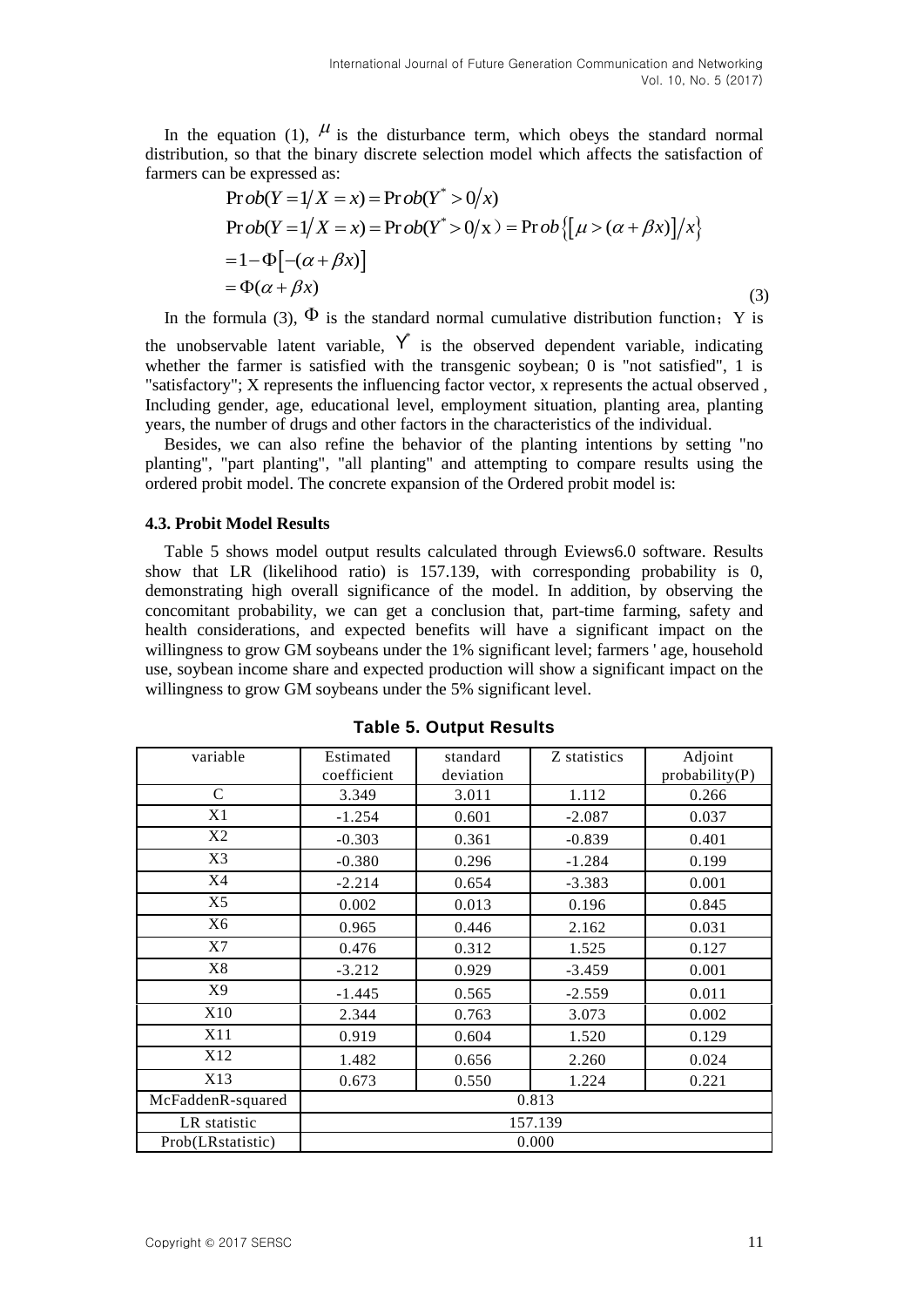In the equation (1),  $\mu$  is the disturbance term, which obeys the standard normal distribution, so that the binary discrete selection model which affects the satisfaction of

fammers can be expressed as:  
\n
$$
\text{Prob}(Y = 1/X = x) = \text{Prob}(Y^* > 0/x)
$$
\n
$$
\text{Prob}(Y = 1/X = x) = \text{Prob}(Y^* > 0/x) = \text{Prob}\{[\mu > (\alpha + \beta x)]/x\}
$$
\n
$$
= 1 - \Phi[-(\alpha + \beta x)]
$$
\n
$$
= \Phi(\alpha + \beta x) \tag{3}
$$

In the formula (3),  $\Phi$  is the standard normal cumulative distribution function; Y is

the unobservable latent variable,  $Y^*$  is the observed dependent variable, indicating whether the farmer is satisfied with the transgenic soybean; 0 is "not satisfied", 1 is "satisfactory"; X represents the influencing factor vector, x represents the actual observed , Including gender, age, educational level, employment situation, planting area, planting years, the number of drugs and other factors in the characteristics of the individual.

Besides, we can also refine the behavior of the planting intentions by setting "no planting", "part planting", "all planting" and attempting to compare results using the ordered probit model. The concrete expansion of the Ordered probit model is:

#### **4.3. Probit Model Results**

Table 5 shows model output results calculated through Eviews6.0 software. Results show that LR (likelihood ratio) is 157.139, with corresponding probability is 0, demonstrating high overall significance of the model. In addition, by observing the concomitant probability, we can get a conclusion that, part-time farming, safety and health considerations, and expected benefits will have a significant impact on the willingness to grow GM soybeans under the 1% significant level; farmers ' age, household use, soybean income share and expected production will show a significant impact on the willingness to grow GM soybeans under the 5% significant level.

| variable          | Estimated<br>coefficient | standard<br>deviation | Z statistics | Adjoint<br>probability(P) |  |  |  |
|-------------------|--------------------------|-----------------------|--------------|---------------------------|--|--|--|
| $\mathsf{C}$      | 3.349                    | 3.011                 | 1.112        | 0.266                     |  |  |  |
| X1                | $-1.254$                 | 0.601                 | $-2.087$     | 0.037                     |  |  |  |
| X2                | $-0.303$                 | 0.361                 | $-0.839$     | 0.401                     |  |  |  |
| X3                | $-0.380$                 | 0.296                 | $-1.284$     | 0.199                     |  |  |  |
| X4                | $-2.214$                 | 0.654                 | $-3.383$     | 0.001                     |  |  |  |
| X5                | 0.002                    | 0.013                 | 0.196        | 0.845                     |  |  |  |
| X6                | 0.965                    | 0.446                 | 2.162        | 0.031                     |  |  |  |
| X7                | 0.476                    | 0.312                 | 1.525        | 0.127                     |  |  |  |
| X8                | $-3.212$                 | 0.929                 | $-3.459$     | 0.001                     |  |  |  |
| X9                | $-1.445$                 | 0.565                 | $-2.559$     | 0.011                     |  |  |  |
| X10               | 2.344                    | 0.763                 | 3.073        | 0.002                     |  |  |  |
| X11               | 0.919                    | 0.604                 | 1.520        | 0.129                     |  |  |  |
| X12               | 1.482                    | 0.656                 | 2.260        | 0.024                     |  |  |  |
| X13               | 0.673                    | 0.550                 | 1.224        | 0.221                     |  |  |  |
| McFaddenR-squared | 0.813                    |                       |              |                           |  |  |  |
| LR statistic      | 157.139                  |                       |              |                           |  |  |  |
| Prob(LRstatistic) | 0.000                    |                       |              |                           |  |  |  |

**Table 5. Output Results**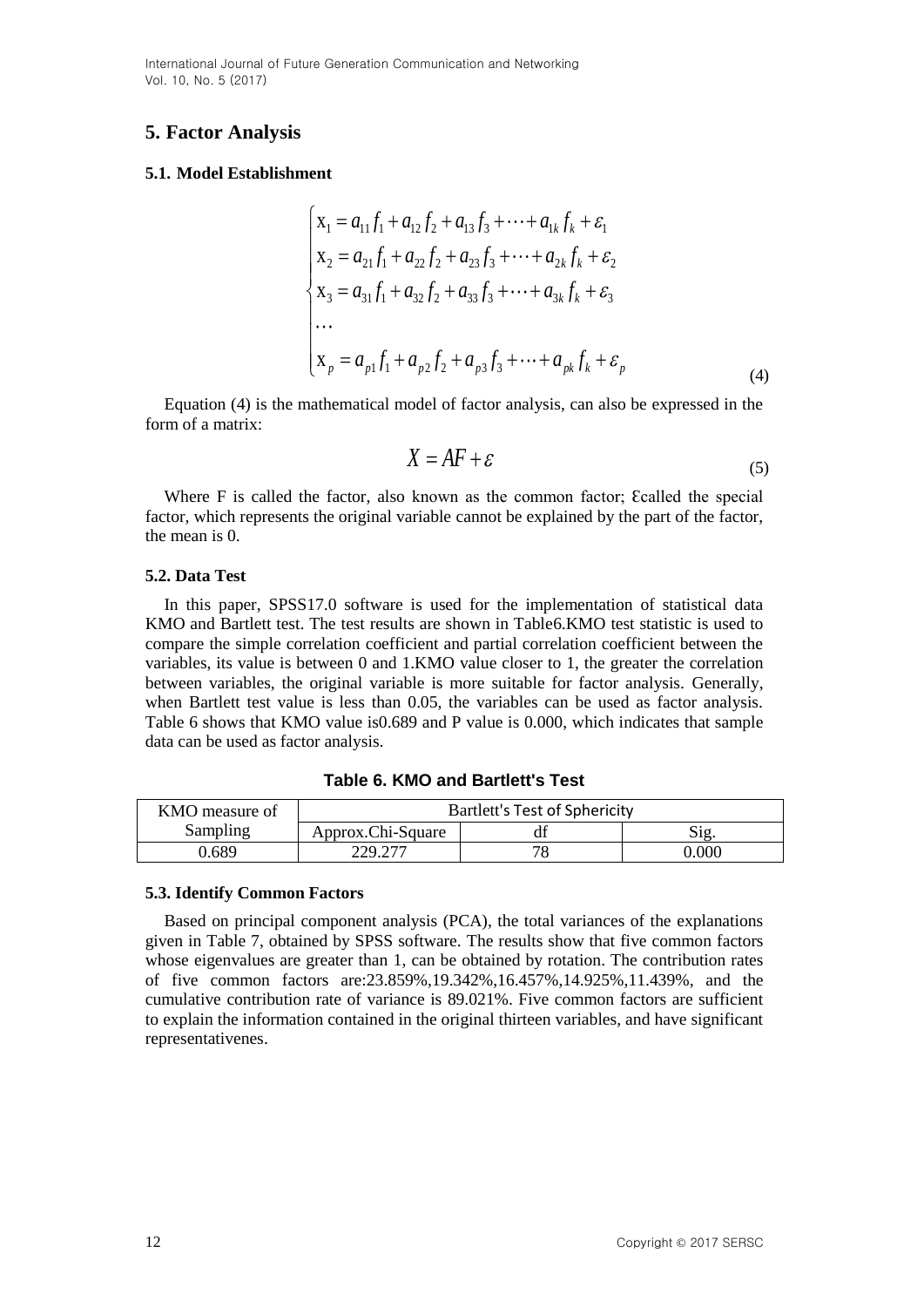International Journal of Future Generation Communication and Networking Vol. 10, No. 5 (2017)

# **5. Factor Analysis**

### **5.1. Model Establishment**

$$
\begin{cases}\n\mathbf{x}_{1} = a_{11}f_{1} + a_{12}f_{2} + a_{13}f_{3} + \cdots + a_{1k}f_{k} + \varepsilon_{1} \\
\mathbf{x}_{2} = a_{21}f_{1} + a_{22}f_{2} + a_{23}f_{3} + \cdots + a_{2k}f_{k} + \varepsilon_{2} \\
\mathbf{x}_{3} = a_{31}f_{1} + a_{32}f_{2} + a_{33}f_{3} + \cdots + a_{3k}f_{k} + \varepsilon_{3} \\
\cdots \\
\mathbf{x}_{p} = a_{p1}f_{1} + a_{p2}f_{2} + a_{p3}f_{3} + \cdots + a_{pk}f_{k} + \varepsilon_{p}\n\end{cases} (4)
$$

Equation (4) is the mathematical model of factor analysis, can also be expressed in the form of a matrix:

$$
X = AF + \varepsilon \tag{5}
$$

Where F is called the factor, also known as the common factor; Ecalled the special factor, which represents the original variable cannot be explained by the part of the factor, the mean is 0.

### **5.2. Data Test**

In this paper, SPSS17.0 software is used for the implementation of statistical data KMO and Bartlett test. The test results are shown in Table6.KMO test statistic is used to compare the simple correlation coefficient and partial correlation coefficient between the variables, its value is between 0 and 1.KMO value closer to 1, the greater the correlation between variables, the original variable is more suitable for factor analysis. Generally, when Bartlett test value is less than 0.05, the variables can be used as factor analysis. Table 6 shows that KMO value is0.689 and P value is 0.000, which indicates that sample data can be used as factor analysis.

| KMO measure of | <b>Bartlett's Test of Sphericity</b> |    |           |  |  |
|----------------|--------------------------------------|----|-----------|--|--|
| Sampling       | Approx.Chi-Square                    |    |           |  |  |
| 7.689          | 229.277                              | 70 | $0.000\,$ |  |  |

**Table 6. KMO and Bartlett's Test**

### **5.3. Identify Common Factors**

Based on principal component analysis (PCA), the total variances of the explanations given in Table 7, obtained by SPSS software. The results show that five common factors whose eigenvalues are greater than 1, can be obtained by rotation. The contribution rates of five common factors are:23.859%,19.342%,16.457%,14.925%,11.439%, and the cumulative contribution rate of variance is 89.021%. Five common factors are sufficient to explain the information contained in the original thirteen variables, and have significant representativenes.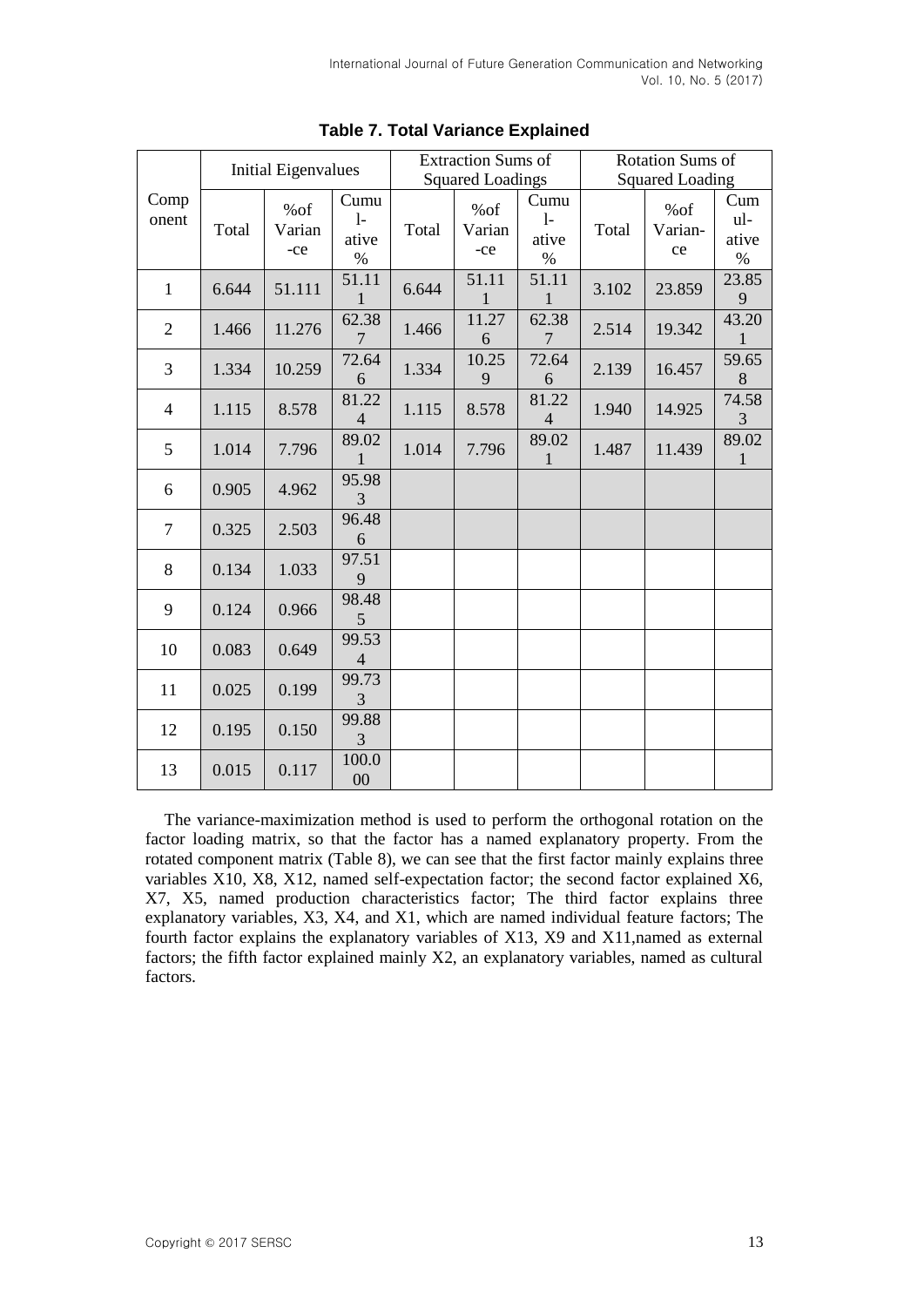|                | <b>Initial Eigenvalues</b> |                      | <b>Extraction Sums of</b>     |                         |                      | Rotation Sums of              |       |                      |                             |
|----------------|----------------------------|----------------------|-------------------------------|-------------------------|----------------------|-------------------------------|-------|----------------------|-----------------------------|
|                |                            |                      |                               | <b>Squared Loadings</b> |                      | <b>Squared Loading</b>        |       |                      |                             |
| Comp<br>onent  | Total                      | %of<br>Varian<br>-ce | Cumu<br>$1-$<br>ative<br>$\%$ | Total                   | %of<br>Varian<br>-ce | Cumu<br>$1-$<br>ative<br>$\%$ | Total | %of<br>Varian-<br>ce | Cum<br>ul-<br>ative<br>$\%$ |
| $\mathbf{1}$   | 6.644                      | 51.111               | 51.11<br>$\mathbf{1}$         | 6.644                   | 51.11                | 51.11<br>1                    | 3.102 | 23.859               | 23.85<br>9                  |
| $\overline{2}$ | 1.466                      | 11.276               | 62.38<br>$\overline{7}$       | 1.466                   | 11.27<br>6           | 62.38<br>$\overline{7}$       | 2.514 | 19.342               | 43.20                       |
| 3              | 1.334                      | 10.259               | 72.64<br>6                    | 1.334                   | 10.25<br>9           | 72.64<br>6                    | 2.139 | 16.457               | 59.65<br>8                  |
| $\overline{4}$ | 1.115                      | 8.578                | 81.22<br>$\overline{4}$       | 1.115                   | 8.578                | 81.22<br>$\overline{4}$       | 1.940 | 14.925               | 74.58<br>3                  |
| 5              | 1.014                      | 7.796                | 89.02<br>1                    | 1.014                   | 7.796                | 89.02<br>1                    | 1.487 | 11.439               | 89.02<br>1                  |
| 6              | 0.905                      | 4.962                | 95.98<br>3                    |                         |                      |                               |       |                      |                             |
| $\overline{7}$ | 0.325                      | 2.503                | 96.48<br>6                    |                         |                      |                               |       |                      |                             |
| 8              | 0.134                      | 1.033                | 97.51<br>9                    |                         |                      |                               |       |                      |                             |
| 9              | 0.124                      | 0.966                | 98.48<br>5                    |                         |                      |                               |       |                      |                             |
| 10             | 0.083                      | 0.649                | 99.53<br>4                    |                         |                      |                               |       |                      |                             |
| 11             | 0.025                      | 0.199                | 99.73<br>3                    |                         |                      |                               |       |                      |                             |
| 12             | 0.195                      | 0.150                | 99.88<br>3                    |                         |                      |                               |       |                      |                             |
| 13             | 0.015                      | 0.117                | 100.0<br>00                   |                         |                      |                               |       |                      |                             |

# **Table 7. Total Variance Explained**

The variance-maximization method is used to perform the orthogonal rotation on the factor loading matrix, so that the factor has a named explanatory property. From the rotated component matrix (Table 8), we can see that the first factor mainly explains three variables X10, X8, X12, named self-expectation factor; the second factor explained X6, X7, X5, named production characteristics factor; The third factor explains three explanatory variables, X3, X4, and X1, which are named individual feature factors; The fourth factor explains the explanatory variables of X13, X9 and X11,named as external factors; the fifth factor explained mainly X2, an explanatory variables, named as cultural factors.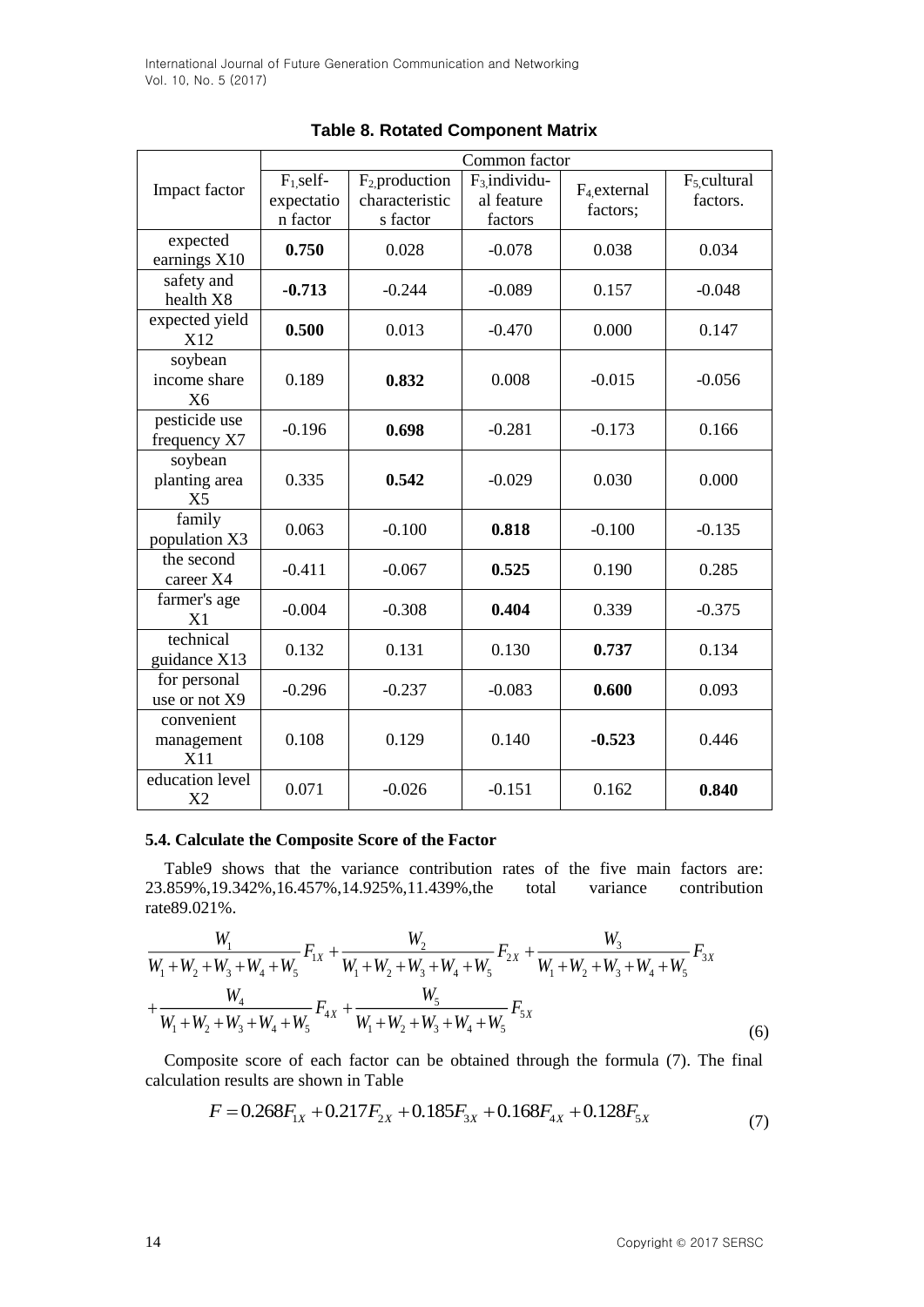|                                            | Common factor                         |                                                  |                                          |                                       |                                       |  |  |
|--------------------------------------------|---------------------------------------|--------------------------------------------------|------------------------------------------|---------------------------------------|---------------------------------------|--|--|
| Impact factor                              | $F_1$ self-<br>expectatio<br>n factor | $F_2$ , production<br>characteristic<br>s factor | $F_3$ individu-<br>al feature<br>factors | F <sub>4</sub> , external<br>factors; | F <sub>5</sub> , cultural<br>factors. |  |  |
| expected<br>earnings X10                   | 0.750                                 | 0.028                                            | $-0.078$                                 | 0.038                                 | 0.034                                 |  |  |
| safety and<br>health X8                    | $-0.713$                              | $-0.244$                                         | $-0.089$                                 | 0.157                                 | $-0.048$                              |  |  |
| expected yield<br>X12                      | 0.500                                 | 0.013                                            | $-0.470$                                 | 0.000                                 | 0.147                                 |  |  |
| soybean<br>income share<br>X6              | 0.189                                 | 0.832                                            | 0.008                                    | $-0.015$                              | $-0.056$                              |  |  |
| pesticide use<br>frequency X7              | $-0.196$                              | 0.698                                            | $-0.281$                                 | $-0.173$                              | 0.166                                 |  |  |
| soybean<br>planting area<br>X <sub>5</sub> | 0.335                                 | 0.542                                            | $-0.029$                                 | 0.030                                 | 0.000                                 |  |  |
| family<br>population X3                    | 0.063                                 | $-0.100$                                         | 0.818                                    | $-0.100$                              | $-0.135$                              |  |  |
| the second<br>career X4                    | $-0.411$                              | $-0.067$                                         | 0.525                                    | 0.190                                 | 0.285                                 |  |  |
| farmer's age<br>X1                         | $-0.004$                              | $-0.308$                                         | 0.404                                    | 0.339                                 | $-0.375$                              |  |  |
| technical<br>guidance X13                  | 0.132                                 | 0.131                                            | 0.130                                    | 0.737                                 | 0.134                                 |  |  |
| for personal<br>use or not X9              | $-0.296$                              | $-0.237$                                         | $-0.083$                                 | 0.600                                 | 0.093                                 |  |  |
| convenient<br>management<br>X11            | 0.108                                 | 0.129                                            | 0.140                                    | $-0.523$                              | 0.446                                 |  |  |
| education level<br>X <sub>2</sub>          | 0.071                                 | $-0.026$                                         | $-0.151$                                 | 0.162                                 | 0.840                                 |  |  |

**Table 8. Rotated Component Matrix**

### **5.4. Calculate the Composite Score of the Factor**

Table9 shows that the variance contribution rates of the five main factors are: 23.859%,19.342%,16.457%,14.925%,11.439%,the total variance contribution rate89.021%.

$$
\frac{W_1}{W_1 + W_2 + W_3 + W_4 + W_5} F_{1x} + \frac{W_2}{W_1 + W_2 + W_3 + W_4 + W_5} F_{2x} + \frac{W_3}{W_1 + W_2 + W_3 + W_4 + W_5} F_{3x}
$$
\n
$$
+ \frac{W_4}{W_1 + W_2 + W_3 + W_4 + W_5} F_{4x} + \frac{W_5}{W_1 + W_2 + W_3 + W_4 + W_5} F_{5x}
$$
\n(6)

Composite score of each factor can be obtained through the formula (7). The final calculation results are shown in Table

$$
F = 0.268F_{1X} + 0.217F_{2X} + 0.185F_{3X} + 0.168F_{4X} + 0.128F_{5X}
$$
\n(7)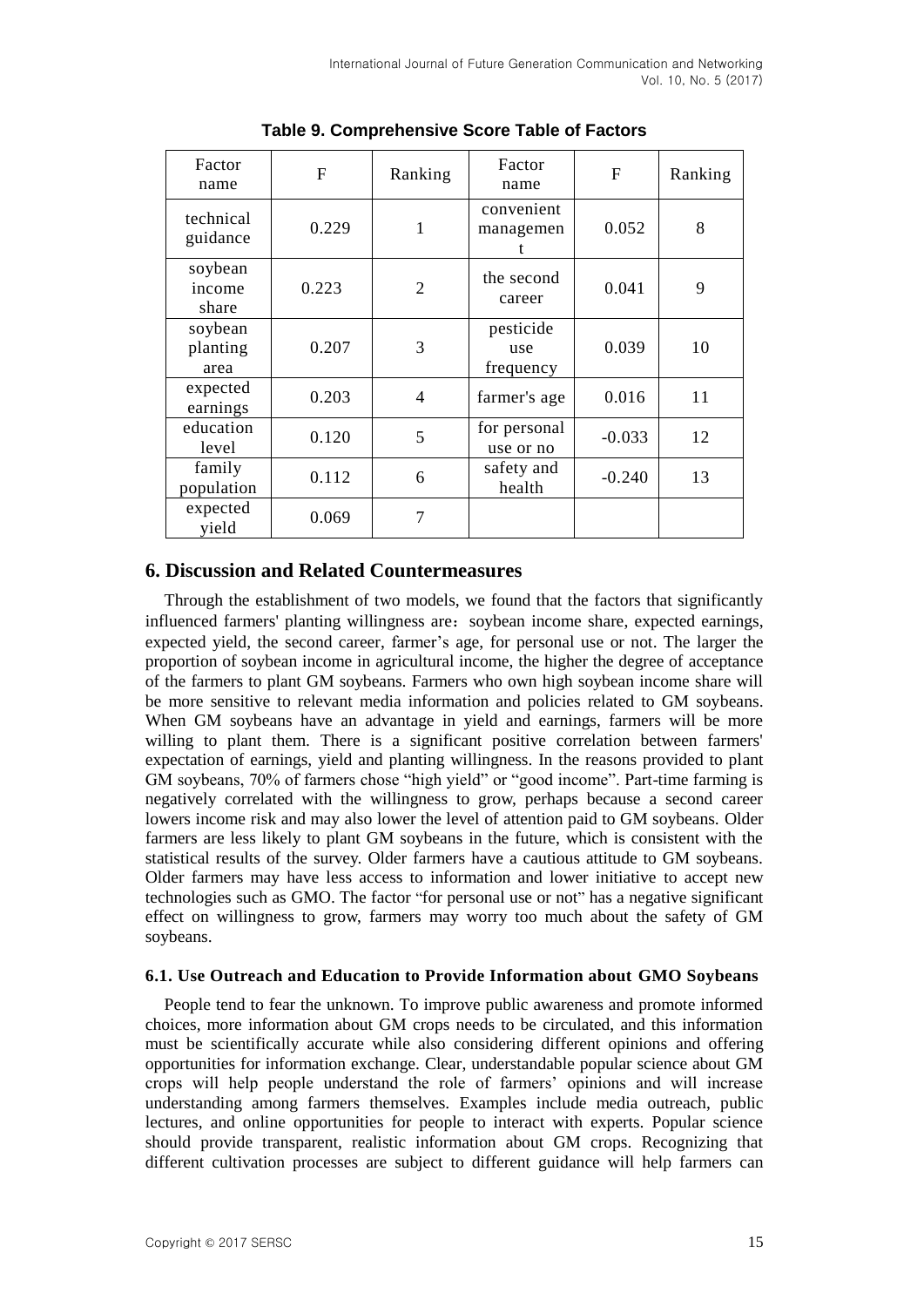| Factor<br>name              | F     | Ranking        | Factor<br>name                | F        | Ranking |
|-----------------------------|-------|----------------|-------------------------------|----------|---------|
| technical<br>guidance       | 0.229 | 1              | convenient<br>managemen       | 0.052    | 8       |
| soybean<br>income<br>share  | 0.223 | $\overline{2}$ | the second<br>career          | 0.041    | 9       |
| soybean<br>planting<br>area | 0.207 | 3              | pesticide<br>use<br>frequency | 0.039    | 10      |
| expected<br>earnings        | 0.203 | $\overline{4}$ | farmer's age                  | 0.016    | 11      |
| education<br>level          | 0.120 | 5              | for personal<br>use or no     | $-0.033$ | 12      |
| family<br>population        | 0.112 | 6              | safety and<br>health          | $-0.240$ | 13      |
| expected<br>yield           | 0.069 | 7              |                               |          |         |

**Table 9. Comprehensive Score Table of Factors**

# **6. Discussion and Related Countermeasures**

Through the establishment of two models, we found that the factors that significantly influenced farmers' planting willingness are: soybean income share, expected earnings, expected yield, the second career, farmer's age, for personal use or not. The larger the proportion of soybean income in agricultural income, the higher the degree of acceptance of the farmers to plant GM soybeans. Farmers who own high soybean income share will be more sensitive to relevant media information and policies related to GM soybeans. When GM soybeans have an advantage in yield and earnings, farmers will be more willing to plant them. There is a significant positive correlation between farmers' expectation of earnings, yield and planting willingness. In the reasons provided to plant GM soybeans, 70% of farmers chose "high yield" or "good income". Part-time farming is negatively correlated with the willingness to grow, perhaps because a second career lowers income risk and may also lower the level of attention paid to GM soybeans. Older farmers are less likely to plant GM soybeans in the future, which is consistent with the statistical results of the survey. Older farmers have a cautious attitude to GM soybeans. Older farmers may have less access to information and lower initiative to accept new technologies such as GMO. The factor "for personal use or not" has a negative significant effect on willingness to grow, farmers may worry too much about the safety of GM soybeans.

### **6.1. Use Outreach and Education to Provide Information about GMO Soybeans**

People tend to fear the unknown. To improve public awareness and promote informed choices, more information about GM crops needs to be circulated, and this information must be scientifically accurate while also considering different opinions and offering opportunities for information exchange. Clear, understandable popular science about GM crops will help people understand the role of farmers' opinions and will increase understanding among farmers themselves. Examples include media outreach, public lectures, and online opportunities for people to interact with experts. Popular science should provide transparent, realistic information about GM crops. Recognizing that different cultivation processes are subject to different guidance will help farmers can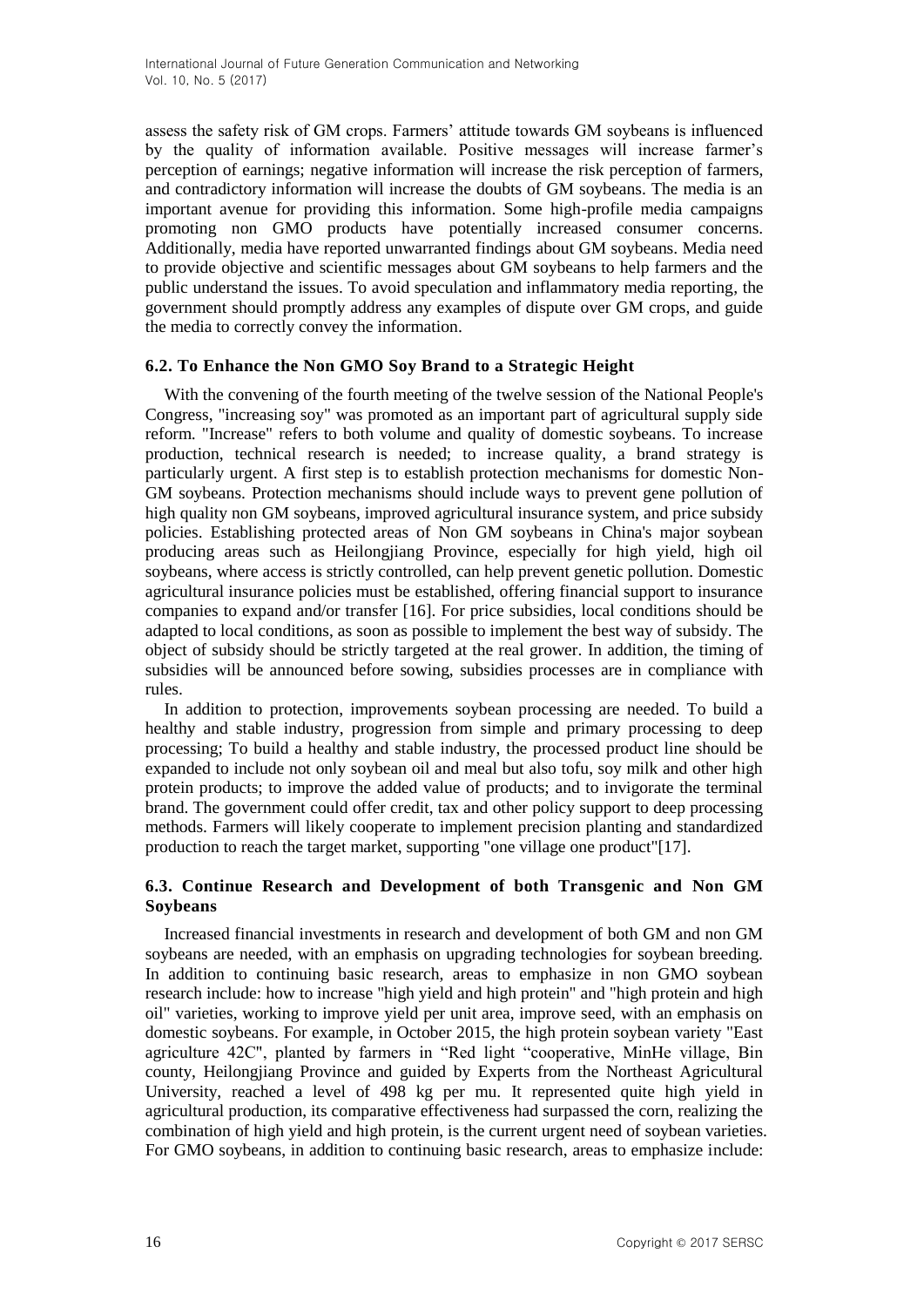assess the safety risk of GM crops. Farmers' attitude towards GM soybeans is influenced by the quality of information available. Positive messages will increase farmer's perception of earnings; negative information will increase the risk perception of farmers, and contradictory information will increase the doubts of GM soybeans. The media is an important avenue for providing this information. Some high-profile media campaigns promoting non GMO products have potentially increased consumer concerns. Additionally, media have reported unwarranted findings about GM soybeans. Media need to provide objective and scientific messages about GM soybeans to help farmers and the public understand the issues. To avoid speculation and inflammatory media reporting, the government should promptly address any examples of dispute over GM crops, and guide the media to correctly convey the information.

### **6.2. To Enhance the Non GMO Soy Brand to a Strategic Height**

With the convening of the fourth meeting of the twelve session of the National People's Congress, "increasing soy" was promoted as an important part of agricultural supply side reform. "Increase" refers to both volume and quality of domestic soybeans. To increase production, technical research is needed; to increase quality, a brand strategy is particularly urgent. A first step is to establish protection mechanisms for domestic Non-GM soybeans. Protection mechanisms should include ways to prevent gene pollution of high quality non GM soybeans, improved agricultural insurance system, and price subsidy policies. Establishing protected areas of Non GM soybeans in China's major soybean producing areas such as Heilongjiang Province, especially for high yield, high oil soybeans, where access is strictly controlled, can help prevent genetic pollution. Domestic agricultural insurance policies must be established, offering financial support to insurance companies to expand and/or transfer [16]. For price subsidies, local conditions should be adapted to local conditions, as soon as possible to implement the best way of subsidy. The object of subsidy should be strictly targeted at the real grower. In addition, the timing of subsidies will be announced before sowing, subsidies processes are in compliance with rules.

In addition to protection, improvements soybean processing are needed. To build a healthy and stable industry, progression from simple and primary processing to deep processing; To build a healthy and stable industry, the processed product line should be expanded to include not only soybean oil and meal but also tofu, soy milk and other high protein products; to improve the added value of products; and to invigorate the terminal brand. The government could offer credit, tax and other policy support to deep processing methods. Farmers will likely cooperate to implement precision planting and standardized production to reach the target market, supporting "one village one product"[17].

### **6.3. Continue Research and Development of both Transgenic and Non GM Soybeans**

Increased financial investments in research and development of both GM and non GM soybeans are needed, with an emphasis on upgrading technologies for soybean breeding. In addition to continuing basic research, areas to emphasize in non GMO soybean research include: how to increase "high yield and high protein" and "high protein and high oil" varieties, working to improve yield per unit area, improve seed, with an emphasis on domestic soybeans. For example, in October 2015, the high protein soybean variety "East agriculture 42C", planted by farmers in "Red light "cooperative, MinHe village, Bin county, Heilongjiang Province and guided by Experts from the Northeast Agricultural University, reached a level of 498 kg per mu. It represented quite high yield in agricultural production, its comparative effectiveness had surpassed the corn, realizing the combination of high yield and high protein, is the current urgent need of soybean varieties. For GMO soybeans, in addition to continuing basic research, areas to emphasize include: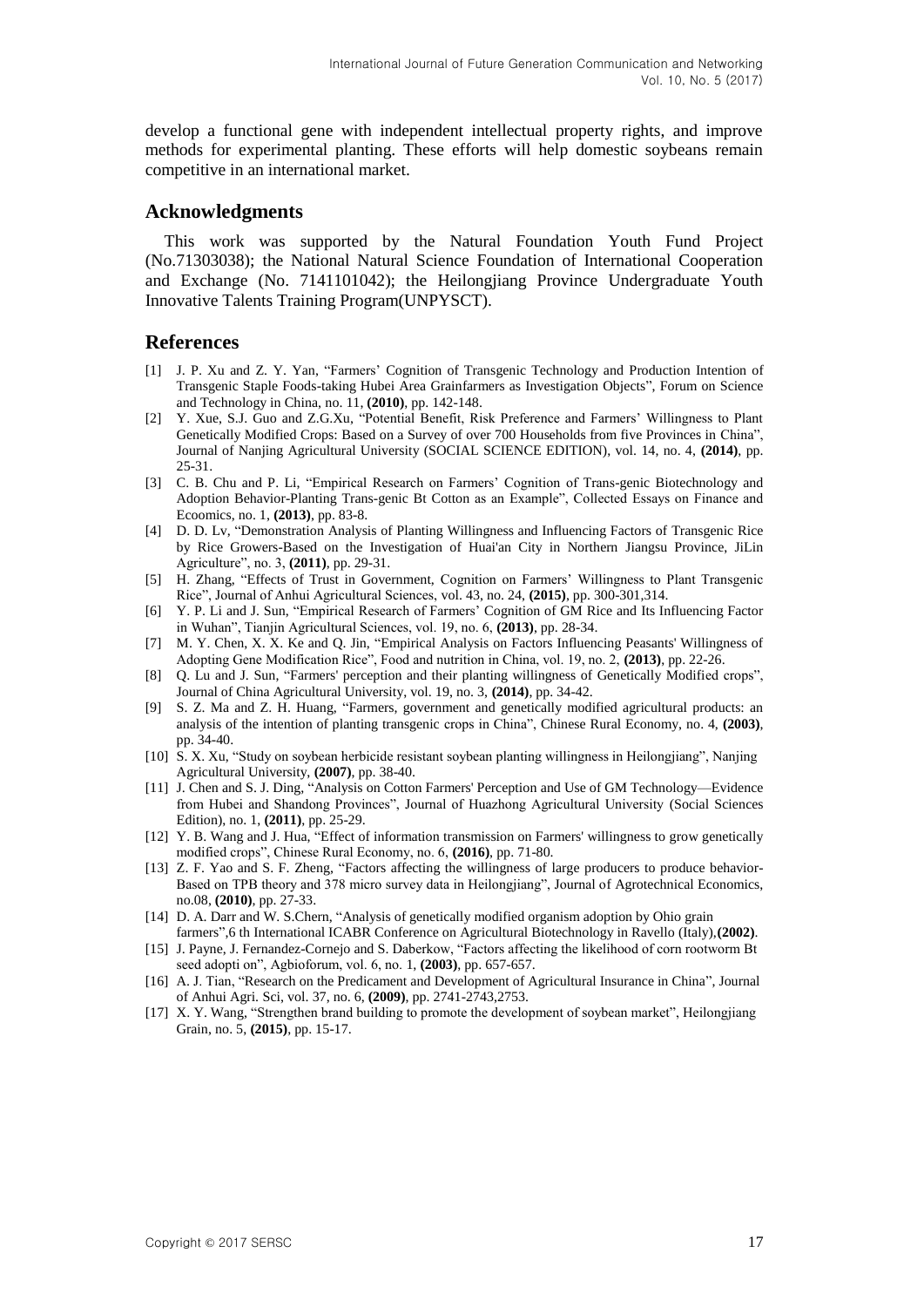develop a functional gene with independent intellectual property rights, and improve methods for experimental planting. These efforts will help domestic soybeans remain competitive in an international market.

### **Acknowledgments**

This work was supported by the Natural Foundation Youth Fund Project (No.71303038); the National Natural Science Foundation of International Cooperation and Exchange (No. 7141101042); the Heilongjiang Province Undergraduate Youth Innovative Talents Training Program(UNPYSCT).

#### **References**

- [1] J. P. Xu and Z. Y. Yan, "Farmers' Cognition of Transgenic Technology and Production Intention of Transgenic Staple Foods-taking Hubei Area Grainfarmers as Investigation Objects", Forum on Science and Technology in China, no. 11, **(2010)**, pp. 142-148.
- [2] Y. Xue, S.J. Guo and Z.G.Xu, "Potential Benefit, Risk Preference and Farmers' Willingness to Plant Genetically Modified Crops: Based on a Survey of over 700 Households from five Provinces in China", Journal of Nanjing Agricultural University (SOCIAL SCIENCE EDITION), vol. 14, no. 4, **(2014)**, pp. 25-31.
- [3] C. B. Chu and P. Li, "Empirical Research on Farmers' Cognition of Trans-genic Biotechnology and Adoption Behavior-Planting Trans-genic Bt Cotton as an Example", Collected Essays on Finance and Ecoomics, no. 1, **(2013)**, pp. 83-8.
- [4] D. D. Lv, "Demonstration Analysis of Planting Willingness and Influencing Factors of Transgenic Rice by Rice Growers-Based on the Investigation of Huai'an City in Northern Jiangsu Province, JiLin Agriculture", no. 3, **(2011)**, pp. 29-31.
- [5] H. Zhang, "Effects of Trust in Government, Cognition on Farmers' Willingness to Plant Transgenic Rice", Journal of Anhui Agricultural Sciences, vol. 43, no. 24, **(2015)**, pp. 300-301,314.
- [6] Y. P. Li and J. Sun, "Empirical Research of Farmers' Cognition of GM Rice and Its Influencing Factor in Wuhan", Tianjin Agricultural Sciences, vol. 19, no. 6, **(2013)**, pp. 28-34.
- [7] M. Y. Chen, X. X. Ke and Q. Jin, "Empirical Analysis on Factors Influencing Peasants' Willingness of Adopting Gene Modification Rice", Food and nutrition in China, vol. 19, no. 2, **(2013)**, pp. 22-26.
- [8] Q. Lu and J. Sun, "Farmers' perception and their planting willingness of Genetically Modified crops", Journal of China Agricultural University, vol. 19, no. 3, **(2014)**, pp. 34-42.
- [9] S. Z. Ma and Z. H. Huang, "Farmers, government and genetically modified agricultural products: an analysis of the intention of planting transgenic crops in China", Chinese Rural Economy, no. 4, **(2003)**, pp. 34-40.
- [10] S. X. Xu, "Study on soybean herbicide resistant soybean planting willingness in Heilongjiang", Nanjing Agricultural University, **(2007)**, pp. 38-40.
- [11] J. Chen and S. J. Ding, "Analysis on Cotton Farmers' Perception and Use of GM Technology—Evidence from Hubei and Shandong Provinces", Journal of Huazhong Agricultural University (Social Sciences Edition), no. 1, **(2011)**, pp. 25-29.
- [12] Y. B. Wang and J. Hua, "Effect of information transmission on Farmers' willingness to grow genetically modified crops", Chinese Rural Economy, no. 6, **(2016)**, pp. 71-80.
- [13] Z. F. Yao and S. F. Zheng, "Factors affecting the willingness of large producers to produce behavior-Based on TPB theory and 378 micro survey data in Heilongjiang", Journal of Agrotechnical Economics, no.08, **(2010)**, pp. 27-33.
- [14] D. A. Darr and W. S.Chern, "Analysis of genetically modified organism adoption by Ohio grain farmers",6 th International ICABR Conference on Agricultural Biotechnology in Ravello (Italy),**(2002)**.
- [15] J. Payne, J. Fernandez-Cornejo and S. Daberkow, "Factors affecting the likelihood of corn rootworm Bt seed adopti on", Agbioforum, vol. 6, no. 1, **(2003)**, pp. 657-657.
- [16] A. J. Tian, "Research on the Predicament and Development of Agricultural Insurance in China", Journal of Anhui Agri. Sci, vol. 37, no. 6, **(2009)**, pp. 2741-2743,2753.
- [17] X. Y. Wang, "Strengthen brand building to promote the development of soybean market", Heilongjiang Grain, no. 5, **(2015)**, pp. 15-17.